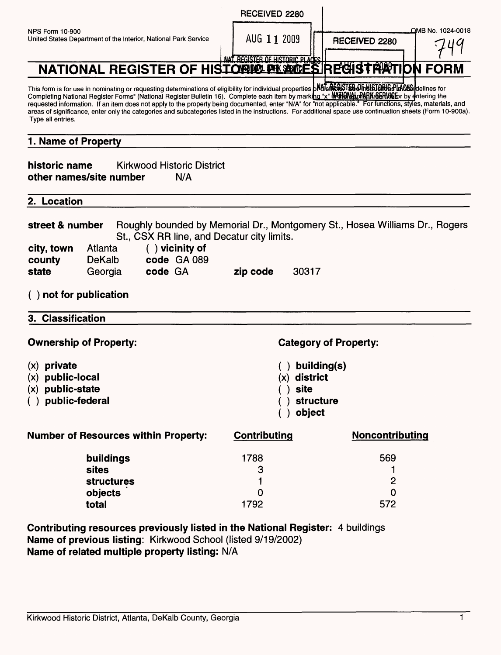|                                                                                                                                                                                                                                                                                                                                                                                                                                                                                                                                                                                                                                                             | RECEIVED 2280                                  |                                                                             |  |  |
|-------------------------------------------------------------------------------------------------------------------------------------------------------------------------------------------------------------------------------------------------------------------------------------------------------------------------------------------------------------------------------------------------------------------------------------------------------------------------------------------------------------------------------------------------------------------------------------------------------------------------------------------------------------|------------------------------------------------|-----------------------------------------------------------------------------|--|--|
| <b>NPS Form 10-900</b><br>United States Department of the Interior, National Park Service                                                                                                                                                                                                                                                                                                                                                                                                                                                                                                                                                                   | AUG 11 2009<br>NAT REGISTER OF HISTORIC PLACES | OMB No. 1024-0018<br><b>RECEIVED 2280</b>                                   |  |  |
| NATIONAL REGISTER OF HISTORIK PLACES RECHSTRATION FORM                                                                                                                                                                                                                                                                                                                                                                                                                                                                                                                                                                                                      |                                                |                                                                             |  |  |
| This form is for use in nominating or requesting determinations of eligibility for individual properties <b>bNdTsREGSTEB OF HISTORIG PLACES</b> delines for<br>Completing National Register Forms" (National Register Bulletin 16). Complete each item by marking "x" MATIONALPARK SERUSE by entering the<br>requested information. If an item does not apply to the property being documented, enter "N/A" for "not applicable." For functions, styles, materials, and<br>areas of significance, enter only the categories and subcategories listed in the instructions. For additional space use continuation sheets (Form 10-900a).<br>Type all entries. |                                                |                                                                             |  |  |
| 1. Name of Property                                                                                                                                                                                                                                                                                                                                                                                                                                                                                                                                                                                                                                         |                                                |                                                                             |  |  |
| historic name<br><b>Kirkwood Historic District</b><br>other names/site number<br>N/A                                                                                                                                                                                                                                                                                                                                                                                                                                                                                                                                                                        |                                                |                                                                             |  |  |
| 2. Location                                                                                                                                                                                                                                                                                                                                                                                                                                                                                                                                                                                                                                                 |                                                |                                                                             |  |  |
| street & number<br>St., CSX RR line, and Decatur city limits.<br>$( )$ vicinity of<br>city, town<br>Atlanta                                                                                                                                                                                                                                                                                                                                                                                                                                                                                                                                                 |                                                | Roughly bounded by Memorial Dr., Montgomery St., Hosea Williams Dr., Rogers |  |  |
| code GA 089<br><b>DeKalb</b><br>county                                                                                                                                                                                                                                                                                                                                                                                                                                                                                                                                                                                                                      |                                                |                                                                             |  |  |
| code GA<br>state<br>Georgia                                                                                                                                                                                                                                                                                                                                                                                                                                                                                                                                                                                                                                 | 30317<br>zip code                              |                                                                             |  |  |
| $($ ) not for publication                                                                                                                                                                                                                                                                                                                                                                                                                                                                                                                                                                                                                                   |                                                |                                                                             |  |  |
| 3. Classification                                                                                                                                                                                                                                                                                                                                                                                                                                                                                                                                                                                                                                           |                                                |                                                                             |  |  |
| <b>Ownership of Property:</b><br><b>Category of Property:</b>                                                                                                                                                                                                                                                                                                                                                                                                                                                                                                                                                                                               |                                                |                                                                             |  |  |
| $(x)$ private                                                                                                                                                                                                                                                                                                                                                                                                                                                                                                                                                                                                                                               |                                                | ) building(s)                                                               |  |  |
| $(x)$ public-local                                                                                                                                                                                                                                                                                                                                                                                                                                                                                                                                                                                                                                          | $(x)$ district                                 |                                                                             |  |  |
| $(x)$ public-state<br>() public-federal                                                                                                                                                                                                                                                                                                                                                                                                                                                                                                                                                                                                                     | site                                           | structure                                                                   |  |  |
|                                                                                                                                                                                                                                                                                                                                                                                                                                                                                                                                                                                                                                                             | object                                         |                                                                             |  |  |
| <b>Number of Resources within Property:</b>                                                                                                                                                                                                                                                                                                                                                                                                                                                                                                                                                                                                                 | <b>Contributing</b>                            | Noncontributing                                                             |  |  |
| buildings                                                                                                                                                                                                                                                                                                                                                                                                                                                                                                                                                                                                                                                   | 1788                                           | 569                                                                         |  |  |
| <b>sites</b>                                                                                                                                                                                                                                                                                                                                                                                                                                                                                                                                                                                                                                                | 3                                              | 1                                                                           |  |  |
| <b>structures</b>                                                                                                                                                                                                                                                                                                                                                                                                                                                                                                                                                                                                                                           | O                                              | 2<br>$\Omega$                                                               |  |  |
| objects<br>total                                                                                                                                                                                                                                                                                                                                                                                                                                                                                                                                                                                                                                            | 1792                                           | 572                                                                         |  |  |
| Contributing resources previously listed in the National Register: 4 buildings<br>Name of previous listing: Kirkwood School (listed 9/19/2002)                                                                                                                                                                                                                                                                                                                                                                                                                                                                                                              |                                                |                                                                             |  |  |

**Name of related multiple property listing: N/A**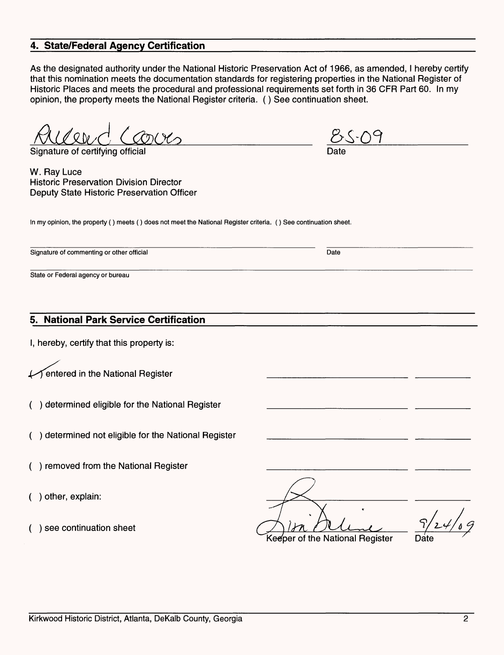# **4. State/Federal Agency Certification**

As the designated authority under the National Historic Preservation Act of 1966, as amended, I hereby certify that this nomination meets the documentation standards for registering properties in the National Register of Historic Places and meets the procedural and professional requirements set forth in 36 CFR Part 60. In my opinion, the property meets the National Register criteria. () See continuation sheet.

Signature of certifying official

W. Ray Luce Historic Preservation Division Director Deputy State Historic Preservation Officer

In my opinion, the property () meets () does not meet the National Register criteria. () See continuation sheet.

Signature of commenting or other official Date Date of Commenting or other official Date

State or Federal agency or bureau

#### **5. National Park Service Certification**

I, hereby, certify that this property is:

entered in the National Register

- ( ) determined eligible for the National Register
- ( ) determined not eligible for the National Register
- ( ) removed from the National Register
- ( ) other, explain:
- ( ) see continuation sheet

Keeper of the National Register Date

Date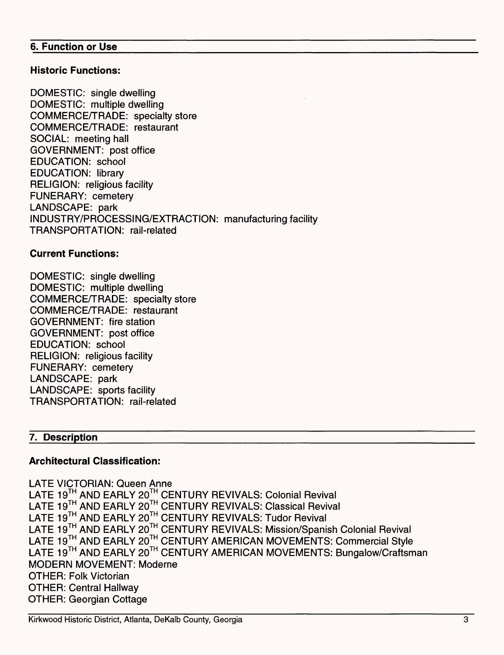#### **6. Function or Use**

#### **Historic Functions:**

DOMESTIC: single dwelling DOMESTIC: multiple dwelling COMMERCE/TRADE: specialty store COMMERCE/TRADE: restaurant SOCIAL: meeting hall GOVERNMENT: post office EDUCATION: school EDUCATION: library RELIGION: religious facility FUNERARY: cemetery LANDSCAPE: park INDUSTRY/PROCESSING/EXTRACTION: manufacturing facility TRANSPORTATION: rail-related

#### **Current Functions:**

DOMESTIC: single dwelling DOMESTIC: multiple dwelling COMMERCE/TRADE: specialty store COMMERCE/TRADE: restaurant GOVERNMENT: fire station GOVERNMENT: post office EDUCATION: school RELIGION: religious facility FUNERARY: cemetery LANDSCAPE: park LANDSCAPE: sports facility TRANSPORTATION: rail-related

#### **7. Description**

### **Architectural Classification:**

LATE VICTORIAN: Queen Anne LATE 19™ AND EARLY 20™ CENTURY REVIVALS: Colonial Revival LATE 19™ AND EARLY 20™ CENTURY REVIVALS: Classical Revival LATE 19<sup>TH</sup> AND EARLY 20<sup>TH</sup> CENTURY REVIVALS: Tudor Revival LATE 19<sup>TH</sup> AND EARLY 20<sup>TH</sup> CENTURY REVIVALS: Mission/Spanish Colonial Revival LATE 19<sup>TH</sup> AND EARLY 20<sup>TH</sup> CENTURY AMERICAN MOVEMENTS: Commercial Style LATE 19<sup>TH</sup> AND EARLY 20<sup>TH</sup> CENTURY AMERICAN MOVEMENTS: Bungalow/Craftsman MODERN MOVEMENT: Moderne OTHER: Folk Victorian OTHER: Central Hallway OTHER: Georgian Cottage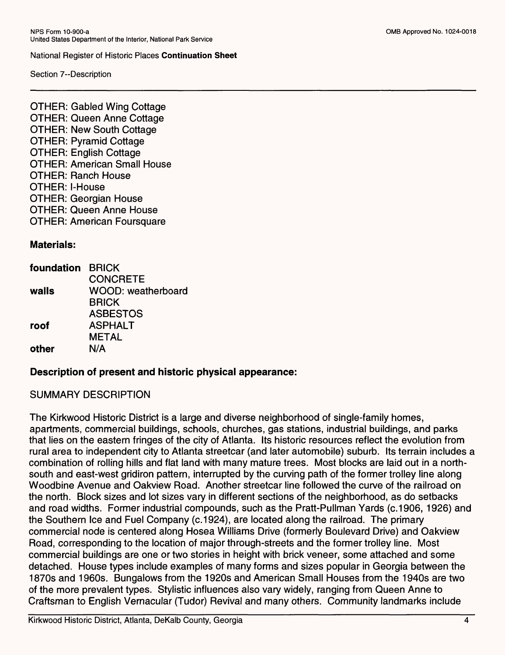Section 7--Description

OTHER: Gabled Wing Cottage OTHER: Queen Anne Cottage OTHER: New South Cottage OTHER: Pyramid Cottage OTHER: English Cottage OTHER: American Small House OTHER: Ranch House OTHER: l-House OTHER: Georgian House OTHER: Queen Anne House OTHER: American Foursquare

#### **Materials:**

| foundation BRICK |                           |
|------------------|---------------------------|
|                  | <b>CONCRETE</b>           |
| walls            | <b>WOOD: weatherboard</b> |
|                  | <b>BRICK</b>              |
|                  | <b>ASBESTOS</b>           |
| roof             | <b>ASPHALT</b>            |
|                  | <b>METAL</b>              |
| other            | N/A                       |
|                  |                           |

#### **Description of present and historic physical appearance:**

#### SUMMARY DESCRIPTION

The Kirkwood Historic District is a large and diverse neighborhood of single-family homes, apartments, commercial buildings, schools, churches, gas stations, industrial buildings, and parks that lies on the eastern fringes of the city of Atlanta. Its historic resources reflect the evolution from rural area to independent city to Atlanta streetcar (and later automobile) suburb. Its terrain includes a combination of rolling hills and flat land with many mature trees. Most blocks are laid out in a northsouth and east-west gridiron pattern, interrupted by the curving path of the former trolley line along Woodbine Avenue and Oakview Road. Another streetcar line followed the curve of the railroad on the north. Block sizes and lot sizes vary in different sections of the neighborhood, as do setbacks and road widths. Former industrial compounds, such as the Pratt-Pullman Yards (c.1906, 1926) and the Southern Ice and Fuel Company (c.1924), are located along the railroad. The primary commercial node is centered along Hosea Williams Drive (formerly Boulevard Drive) and Oakview Road, corresponding to the location of major through-streets and the former trolley line. Most commercial buildings are one or two stories in height with brick veneer, some attached and some detached. House types include examples of many forms and sizes popular in Georgia between the 1870s and 1960s. Bungalows from the 1920s and American Small Houses from the 1940s are two of the more prevalent types. Stylistic influences also vary widely, ranging from Queen Anne to Craftsman to English Vernacular (Tudor) Revival and many others. Community landmarks include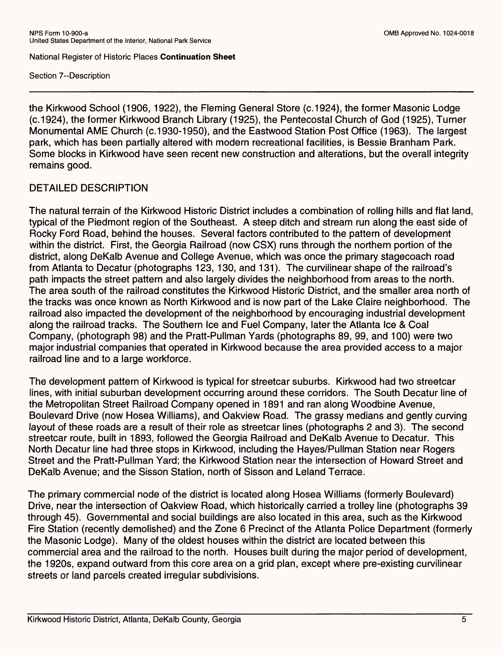Section 7--Description

the Kirkwood School (1906, 1922), the Fleming General Store (c.1924), the former Masonic Lodge (c.1924), the former Kirkwood Branch Library (1925), the Pentecostal Church of God (1925), Turner Monumental AME Church (c. 1930-1950), and the Eastwood Station Post Office (1963). The largest park, which has been partially altered with modern recreational facilities, is Bessie Branham Park. Some blocks in Kirkwood have seen recent new construction and alterations, but the overall integrity remains good.

# DETAILED DESCRIPTION

The natural terrain of the Kirkwood Historic District includes a combination of rolling hills and flat land, typical of the Piedmont region of the Southeast. A steep ditch and stream run along the east side of Rocky Ford Road, behind the houses. Several factors contributed to the pattern of development within the district. First, the Georgia Railroad (now CSX) runs through the northern portion of the district, along DeKalb Avenue and College Avenue, which was once the primary stagecoach road from Atlanta to Decatur (photographs 123, 130, and 131). The curvilinear shape of the railroad's path impacts the street pattern and also largely divides the neighborhood from areas to the north. The area south of the railroad constitutes the Kirkwood Historic District, and the smaller area north of the tracks was once known as North Kirkwood and is now part of the Lake Claire neighborhood. The railroad also impacted the development of the neighborhood by encouraging industrial development along the railroad tracks. The Southern Ice and Fuel Company, later the Atlanta Ice & Coal Company, (photograph 98) and the Pratt-Pullman Yards (photographs 89, 99, and 100) were two major industrial companies that operated in Kirkwood because the area provided access to a major railroad line and to a large workforce.

The development pattern of Kirkwood is typical for streetcar suburbs. Kirkwood had two streetcar lines, with initial suburban development occurring around these corridors. The South Decatur line of the Metropolitan Street Railroad Company opened in 1891 and ran along Woodbine Avenue, Boulevard Drive (now Hosea Williams), and Oakview Road. The grassy medians and gently curving layout of these roads are a result of their role as streetcar lines (photographs 2 and 3). The second streetcar route, built in 1893, followed the Georgia Railroad and DeKalb Avenue to Decatur. This North Decatur line had three stops in Kirkwood, including the Hayes/Pullman Station near Rogers Street and the Pratt-Pullman Yard; the Kirkwood Station near the intersection of Howard Street and DeKalb Avenue; and the Sisson Station, north of Sisson and Leland Terrace.

The primary commercial node of the district is located along Hosea Williams (formerly Boulevard) Drive, near the intersection of Oakview Road, which historically carried a trolley line (photographs 39 through 45). Governmental and social buildings are also located in this area, such as the Kirkwood Fire Station (recently demolished) and the Zone 6 Precinct of the Atlanta Police Department (formerly the Masonic Lodge). Many of the oldest houses within the district are located between this commercial area and the railroad to the north. Houses built during the major period of development, the 1920s, expand outward from this core area on a grid plan, except where pre-existing curvilinear streets or land parcels created irregular subdivisions.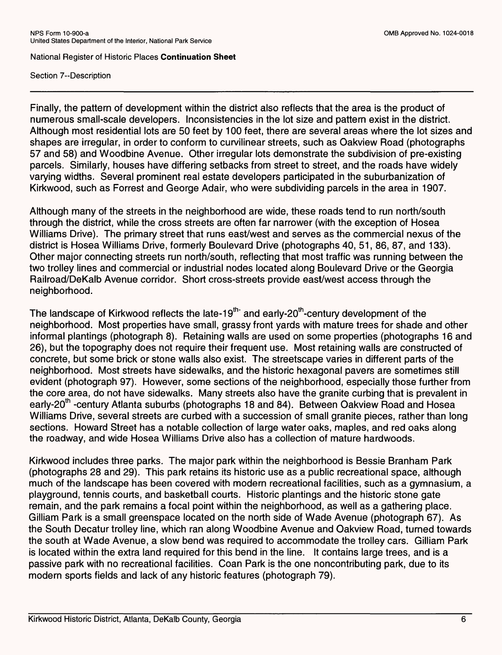Section 7--Description

Finally, the pattern of development within the district also reflects that the area is the product of numerous small-scale developers. Inconsistencies in the lot size and pattern exist in the district. Although most residential lots are 50 feet by 100 feet, there are several areas where the lot sizes and shapes are irregular, in order to conform to curvilinear streets, such as Oakview Road (photographs 57 and 58) and Woodbine Avenue. Other irregular lots demonstrate the subdivision of pre-existing parcels. Similarly, houses have differing setbacks from street to street, and the roads have widely varying widths. Several prominent real estate developers participated in the suburbanization of Kirkwood, such as Forrest and George Adair, who were subdividing parcels in the area in 1907.

Although many of the streets in the neighborhood are wide, these roads tend to run north/south through the district, while the cross streets are often far narrower (with the exception of Hosea Williams Drive). The primary street that runs east/west and serves as the commercial nexus of the district is Hosea Williams Drive, formerly Boulevard Drive (photographs 40, 51, 86, 87, and 133). Other major connecting streets run north/south, reflecting that most traffic was running between the two trolley lines and commercial or industrial nodes located along Boulevard Drive or the Georgia Railroad/DeKalb Avenue corridor. Short cross-streets provide east/west access through the neighborhood.

The landscape of Kirkwood reflects the late-19<sup>th-</sup> and early-20<sup>th</sup>-century development of the neighborhood. Most properties have small, grassy front yards with mature trees for shade and other informal plantings (photograph 8). Retaining walls are used on some properties (photographs 16 and 26), but the topography does not require their frequent use. Most retaining walls are constructed of concrete, but some brick or stone walls also exist. The streetscape varies in different parts of the neighborhood. Most streets have sidewalks, and the historic hexagonal pavers are sometimes still evident (photograph 97). However, some sections of the neighborhood, especially those further from the core area, do not have sidewalks. Many streets also have the granite curbing that is prevalent in early-20<sup>th</sup> -century Atlanta suburbs (photographs 18 and 84). Between Oakview Road and Hosea Williams Drive, several streets are curbed with a succession of small granite pieces, rather than long sections. Howard Street has a notable collection of large water oaks, maples, and red oaks along the roadway, and wide Hosea Williams Drive also has a collection of mature hardwoods.

Kirkwood includes three parks. The major park within the neighborhood is Bessie Branham Park (photographs 28 and 29). This park retains its historic use as a public recreational space, although much of the landscape has been covered with modern recreational facilities, such as a gymnasium, a playground, tennis courts, and basketball courts. Historic plantings and the historic stone gate remain, and the park remains a focal point within the neighborhood, as well as a gathering place. Gilliam Park is a small greenspace located on the north side of Wade Avenue (photograph 67). As the South Decatur trolley line, which ran along Woodbine Avenue and Oakview Road, turned towards the south at Wade Avenue, a slow bend was required to accommodate the trolley cars. Gilliam Park is located within the extra land required for this bend in the line. It contains large trees, and is a passive park with no recreational facilities. Coan Park is the one noncontributing park, due to its modern sports fields and lack of any historic features (photograph 79).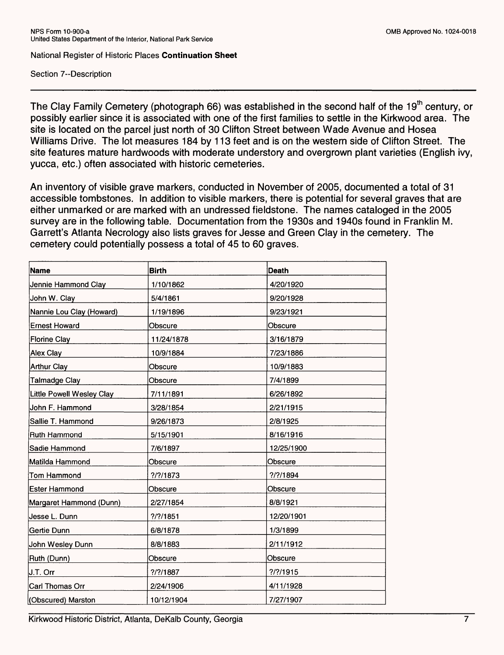Section 7--Description

The Clay Family Cemetery (photograph 66) was established in the second half of the 19<sup>th</sup> century, or possibly earlier since it is associated with one of the first families to settle in the Kirkwood area. The site is located on the parcel just north of 30 Clifton Street between Wade Avenue and Hosea Williams Drive. The lot measures 184 by 113 feet and is on the western side of Clifton Street. The site features mature hardwoods with moderate understory and overgrown plant varieties (English ivy, yucca, etc.) often associated with historic cemeteries.

An inventory of visible grave markers, conducted in November of 2005, documented a total of 31 accessible tombstones. In addition to visible markers, there is potential for several graves that are either unmarked or are marked with an undressed fieldstone. The names cataloged in the 2005 survey are in the following table. Documentation from the 1930s and 1940s found in Franklin M. Garrett's Atlanta Necrology also lists graves for Jesse and Green Clay in the cemetery. The cemetery could potentially possess a total of 45 to 60 graves.

| <b>Name</b>               | <b>Birth</b> | Death       |
|---------------------------|--------------|-------------|
| Jennie Hammond Clay       | 1/10/1862    | 4/20/1920   |
| John W. Clay              | 5/4/1861     | 9/20/1928   |
| Nannie Lou Clay (Howard)  | 1/19/1896    | 9/23/1921   |
| <b>Ernest Howard</b>      | Obscure      | Obscure     |
| <b>Florine Clay</b>       | 11/24/1878   | 3/16/1879   |
| Alex Clay                 | 10/9/1884    | 7/23/1886   |
| <b>Arthur Clay</b>        | Obscure      | 10/9/1883   |
| <b>Talmadge Clay</b>      | Obscure      | 7/4/1899    |
| Little Powell Wesley Clay | 7/11/1891    | 6/26/1892   |
| John F. Hammond           | 3/28/1854    | 2/21/1915   |
| Sallie T. Hammond         | 9/26/1873    | 2/8/1925    |
| Ruth Hammond              | 5/15/1901    | 8/16/1916   |
| Sadie Hammond             | 7/6/1897     | 12/25/1900  |
| Matilda Hammond           | Obscure      | Obscure     |
| Tom Hammond               | $?$ /?/1873  | $?$ /?/1894 |
| Ester Hammond             | Obscure      | Obscure     |
| Margaret Hammond (Dunn)   | 2/27/1854    | 8/8/1921    |
| Jesse L. Dunn             | $?$ /?/1851  | 12/20/1901  |
| Gertie Dunn               | 6/8/1878     | 1/3/1899    |
| John Wesley Dunn          | 8/8/1883     | 2/11/1912   |
| Ruth (Dunn)               | Obscure      | Obscure     |
| J.T. Orr                  | $?$ /?/1887  | $?$ /?/1915 |
| Carl Thomas Orr           | 2/24/1906    | 4/11/1928   |
| (Obscured) Marston        | 10/12/1904   | 7/27/1907   |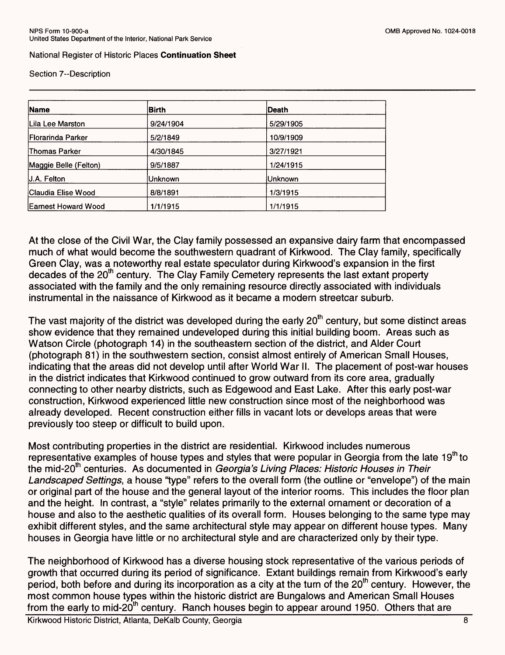Section 7--Description

| <b>Name</b><br><b>Birth</b> |           | <b>Death</b> |  |
|-----------------------------|-----------|--------------|--|
| Lila Lee Marston            | 9/24/1904 | 5/29/1905    |  |
| <b>Florarinda Parker</b>    | 5/2/1849  | 10/9/1909    |  |
| Thomas Parker               | 4/30/1845 | 3/27/1921    |  |
| Maggie Belle (Felton)       | 9/5/1887  | 1/24/1915    |  |
| J.A. Felton                 | lUnknown  | Unknown      |  |
| Claudia Elise Wood          | 8/8/1891  | 1/3/1915     |  |
| <b>Earnest Howard Wood</b>  | 1/1/1915  | 1/1/1915     |  |

At the close of the Civil War, the Clay family possessed an expansive dairy farm that encompassed much of what would become the southwestern quadrant of Kirkwood. The Clay family, specifically Green Clay, was a noteworthy real estate speculator during Kirkwood's expansion in the first decades of the 20<sup>th</sup> century. The Clay Family Cemetery represents the last extant property associated with the family and the only remaining resource directly associated with individuals instrumental in the naissance of Kirkwood as it became a modern streetcar suburb.

The vast majority of the district was developed during the early  $20<sup>th</sup>$  century, but some distinct areas show evidence that they remained undeveloped during this initial building boom. Areas such as Watson Circle (photograph 14) in the southeastern section of the district, and Alder Court (photograph 81) in the southwestern section, consist almost entirely of American Small Houses, indicating that the areas did not develop until after World War II. The placement of post-war houses in the district indicates that Kirkwood continued to grow outward from its core area, gradually connecting to other nearby districts, such as Edgewood and East Lake. After this early post-war construction, Kirkwood experienced little new construction since most of the neighborhood was already developed. Recent construction either fills in vacant lots or develops areas that were previously too steep or difficult to build upon.

Most contributing properties in the district are residential. Kirkwood includes numerous representative examples of house types and styles that were popular in Georgia from the late 19<sup>th</sup> to the mid-20<sup>th</sup> centuries. As documented in Georgia's Living Places: Historic Houses in Their Landscaped Settings, a house "type" refers to the overall form (the outline or "envelope") of the main or original part of the house and the general layout of the interior rooms. This includes the floor plan and the height. In contrast, a "style" relates primarily to the external ornament or decoration of a house and also to the aesthetic qualities of its overall form. Houses belonging to the same type may exhibit different styles, and the same architectural style may appear on different house types. Many houses in Georgia have little or no architectural style and are characterized only by their type.

The neighborhood of Kirkwood has a diverse housing stock representative of the various periods of growth that occurred during its period of significance. Extant buildings remain from Kirkwood's early period, both before and during its incorporation as a city at the turn of the 20<sup>th</sup> century. However, the most common house types within the historic district are Bungalows and American Small Houses from the early to mid-20<sup>th</sup> century. Ranch houses begin to appear around 1950. Others that are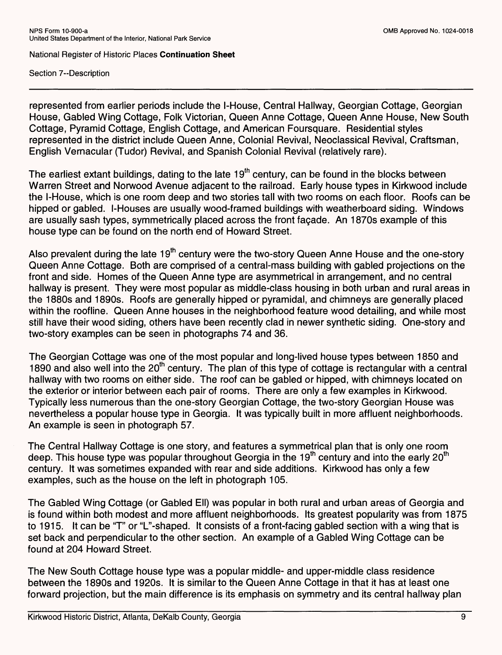Section 7--Description

represented from earlier periods include the l-House, Central Hallway, Georgian Cottage, Georgian House, Gabled Wing Cottage, Folk Victorian, Queen Anne Cottage, Queen Anne House, New South Cottage, Pyramid Cottage, English Cottage, and American Foursquare. Residential styles represented in the district include Queen Anne, Colonial Revival, Neoclassical Revival, Craftsman, English Vernacular (Tudor) Revival, and Spanish Colonial Revival (relatively rare).

The earliest extant buildings, dating to the late  $19<sup>th</sup>$  century, can be found in the blocks between Warren Street and Norwood Avenue adjacent to the railroad. Early house types in Kirkwood include the l-House, which is one room deep and two stories tall with two rooms on each floor. Roofs can be hipped or gabled. l-Houses are usually wood-framed buildings with weatherboard siding. Windows are usually sash types, symmetrically placed across the front facade. An 1870s example of this house type can be found on the north end of Howard Street.

Also prevalent during the late  $19<sup>th</sup>$  century were the two-story Queen Anne House and the one-story Queen Anne Cottage. Both are comprised of a central-mass building with gabled projections on the front and side. Homes of the Queen Anne type are asymmetrical in arrangement, and no central hallway is present. They were most popular as middle-class housing in both urban and rural areas in the 1880s and 1890s. Roofs are generally hipped or pyramidal, and chimneys are generally placed within the roofline. Queen Anne houses in the neighborhood feature wood detailing, and while most still have their wood siding, others have been recently clad in newer synthetic siding. One-story and two-story examples can be seen in photographs 74 and 36.

The Georgian Cottage was one of the most popular and long-lived house types between 1850 and 1890 and also well into the 20<sup>th</sup> century. The plan of this type of cottage is rectangular with a central hallway with two rooms on either side. The roof can be gabled or hipped, with chimneys located on the exterior or interior between each pair of rooms. There are only a few examples in Kirkwood. Typically less numerous than the one-story Georgian Cottage, the two-story Georgian House was nevertheless a popular house type in Georgia. It was typically built in more affluent neighborhoods. An example is seen in photograph 57.

The Central Hallway Cottage is one story, and features a symmetrical plan that is only one room deep. This house type was popular throughout Georgia in the 19<sup>th</sup> century and into the early 20<sup>th</sup> century. It was sometimes expanded with rear and side additions. Kirkwood has only a few examples, such as the house on the left in photograph 105.

The Gabled Wing Cottage (or Gabled Ell) was popular in both rural and urban areas of Georgia and is found within both modest and more affluent neighborhoods. Its greatest popularity was from 1875 to 1915. It can be "T" or "L"-shaped. It consists of a front-facing gabled section with a wing that is set back and perpendicular to the other section. An example of a Gabled Wing Cottage can be found at 204 Howard Street.

The New South Cottage house type was a popular middle- and upper-middle class residence between the 1890s and 1920s. It is similar to the Queen Anne Cottage in that it has at least one forward projection, but the main difference is its emphasis on symmetry and its central hallway plan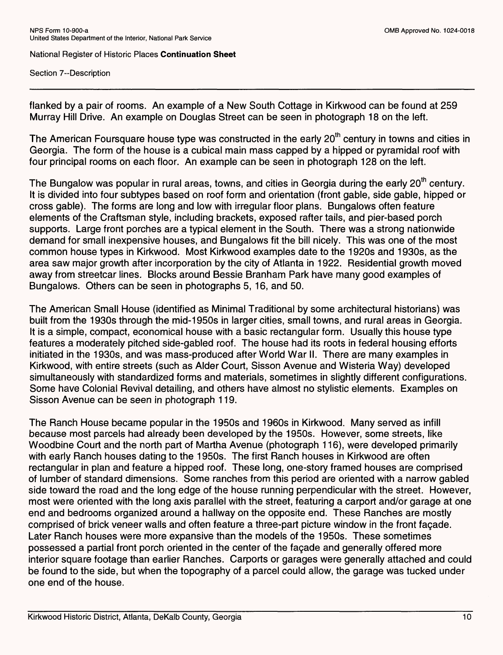Section 7~Description

flanked by a pair of rooms. An example of a New South Cottage in Kirkwood can be found at 259 Murray Hill Drive. An example on Douglas Street can be seen in photograph 18 on the left.

The American Foursquare house type was constructed in the early 20<sup>th</sup> century in towns and cities in Georgia. The form of the house is a cubical main mass capped by a hipped or pyramidal roof with four principal rooms on each floor. An example can be seen in photograph 128 on the left.

The Bungalow was popular in rural areas, towns, and cities in Georgia during the early 20<sup>th</sup> century. It is divided into four subtypes based on roof form and orientation (front gable, side gable, hipped or cross gable). The forms are long and low with irregular floor plans. Bungalows often feature elements of the Craftsman style, including brackets, exposed rafter tails, and pier-based porch supports. Large front porches are a typical element in the South. There was a strong nationwide demand for small inexpensive houses, and Bungalows fit the bill nicely. This was one of the most common house types in Kirkwood. Most Kirkwood examples date to the 1920s and 1930s, as the area saw major growth after incorporation by the city of Atlanta in 1922. Residential growth moved away from streetcar lines. Blocks around Bessie Branham Park have many good examples of Bungalows. Others can be seen in photographs 5, 16, and 50.

The American Small House (identified as Minimal Traditional by some architectural historians) was built from the 1930s through the mid-1950s in larger cities, small towns, and rural areas in Georgia. It is a simple, compact, economical house with a basic rectangular form. Usually this house type features a moderately pitched side-gabled roof. The house had its roots in federal housing efforts initiated in the 1930s, and was mass-produced after World War II. There are many examples in Kirkwood, with entire streets (such as Alder Court, Sisson Avenue and Wisteria Way) developed simultaneously with standardized forms and materials, sometimes in slightly different configurations. Some have Colonial Revival detailing, and others have almost no stylistic elements. Examples on Sisson Avenue can be seen in photograph 119.

The Ranch House became popular in the 1950s and 1960s in Kirkwood. Many served as infill because most parcels had already been developed by the 1950s. However, some streets, like Woodbine Court and the north part of Martha Avenue (photograph 116), were developed primarily with early Ranch houses dating to the 1950s. The first Ranch houses in Kirkwood are often rectangular in plan and feature a hipped roof. These long, one-story framed houses are comprised of lumber of standard dimensions. Some ranches from this period are oriented with a narrow gabled side toward the road and the long edge of the house running perpendicular with the street. However, most were oriented with the long axis parallel with the street, featuring a carport and/or garage at one end and bedrooms organized around a hallway on the opposite end. These Ranches are mostly comprised of brick veneer walls and often feature a three-part picture window in the front fagade. Later Ranch houses were more expansive than the models of the 1950s. These sometimes possessed a partial front porch oriented in the center of the fagade and generally offered more interior square footage than earlier Ranches. Carports or garages were generally attached and could be found to the side, but when the topography of a parcel could allow, the garage was tucked under one end of the house.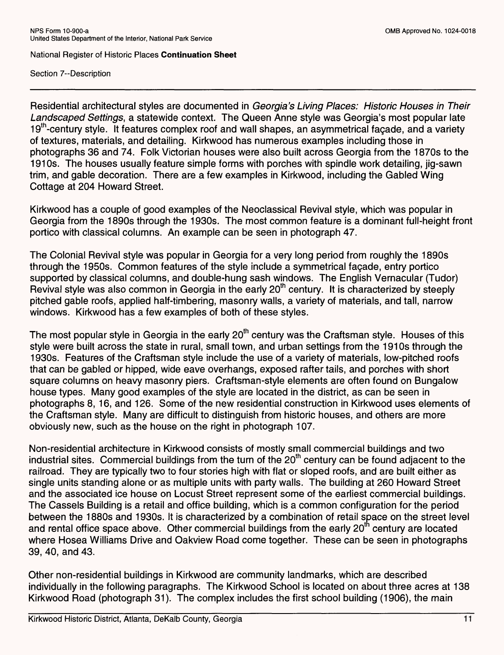Section 7--Description

Residential architectural styles are documented in Georgia's Living Places: Historic Houses in Their Landscaped Settings, a statewide context. The Queen Anne style was Georgia's most popular late 19<sup>th</sup>-century style. It features complex roof and wall shapes, an asymmetrical facade, and a variety of textures, materials, and detailing. Kirkwood has numerous examples including those in photographs 36 and 74. Folk Victorian houses were also built across Georgia from the 1870s to the 1910s. The houses usually feature simple forms with porches with spindle work detailing, jig-sawn trim, and gable decoration. There are a few examples in Kirkwood, including the Gabled Wing Cottage at 204 Howard Street.

Kirkwood has a couple of good examples of the Neoclassical Revival style, which was popular in Georgia from the 1890s through the 1930s. The most common feature is a dominant full-height front portico with classical columns. An example can be seen in photograph 47.

The Colonial Revival style was popular in Georgia for a very long period from roughly the 1890s through the 1950s. Common features of the style include a symmetrical fagade, entry portico supported by classical columns, and double-hung sash windows. The English Vernacular (Tudor) Revival style was also common in Georgia in the early 20<sup>th</sup> century. It is characterized by steeply pitched gable roofs, applied half-timbering, masonry walls, a variety of materials, and tall, narrow windows. Kirkwood has a few examples of both of these styles.

The most popular style in Georgia in the early 20<sup>th</sup> century was the Craftsman style. Houses of this style were built across the state in rural, small town, and urban settings from the 1910s through the 1930s. Features of the Craftsman style include the use of a variety of materials, low-pitched roofs that can be gabled or hipped, wide eave overhangs, exposed rafter tails, and porches with short square columns on heavy masonry piers. Craftsman-style elements are often found on Bungalow house types. Many good examples of the style are located in the district, as can be seen in photographs 8, 16, and 126. Some of the new residential construction in Kirkwood uses elements of the Craftsman style. Many are difficult to distinguish from historic houses, and others are more obviously new, such as the house on the right in photograph 107.

Non-residential architecture in Kirkwood consists of mostly small commercial buildings and two industrial sites. Commercial buildings from the turn of the  $20<sup>th</sup>$  century can be found adjacent to the railroad. They are typically two to four stories high with flat or sloped roofs, and are built either as single units standing alone or as multiple units with party walls. The building at 260 Howard Street and the associated ice house on Locust Street represent some of the earliest commercial buildings. The Cassels Building is a retail and office building, which is a common configuration for the period between the 1880s and 1930s. It is characterized by a combination of retail space on the street level and rental office space above. Other commercial buildings from the early 20<sup>th</sup> century are located where Hosea Williams Drive and Oakview Road come together. These can be seen in photographs 39, 40, and 43.

Other non-residential buildings in Kirkwood are community landmarks, which are described individually in the following paragraphs. The Kirkwood School is located on about three acres at 138 Kirkwood Road (photograph 31). The complex includes the first school building (1906), the main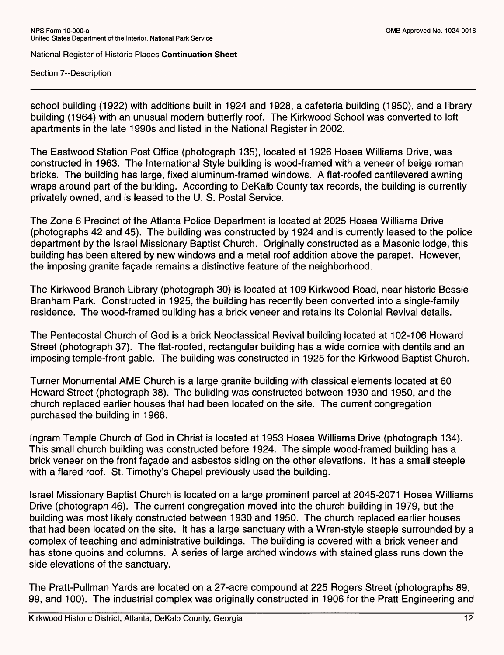Section 7--Description

school building (1922) with additions built in 1924 and 1928, a cafeteria building (1950), and a library building (1964) with an unusual modern butterfly roof. The Kirkwood School was converted to loft apartments in the late 1990s and listed in the National Register in 2002.

The Eastwood Station Post Office (photograph 135), located at 1926 Hosea Williams Drive, was constructed in 1963. The International Style building is wood-framed with a veneer of beige roman bricks. The building has large, fixed aluminum-framed windows. A flat-roofed cantilevered awning wraps around part of the building. According to DeKalb County tax records, the building is currently privately owned, and is leased to the U. S. Postal Service.

The Zone 6 Precinct of the Atlanta Police Department is located at 2025 Hosea Williams Drive (photographs 42 and 45). The building was constructed by 1924 and is currently leased to the police department by the Israel Missionary Baptist Church. Originally constructed as a Masonic lodge, this building has been altered by new windows and a metal roof addition above the parapet. However, the imposing granite facade remains a distinctive feature of the neighborhood.

The Kirkwood Branch Library (photograph 30) is located at 109 Kirkwood Road, near historic Bessie Branham Park. Constructed in 1925, the building has recently been converted into a single-family residence. The wood-framed building has a brick veneer and retains its Colonial Revival details.

The Pentecostal Church of God is a brick Neoclassical Revival building located at 102-106 Howard Street (photograph 37). The flat-roofed, rectangular building has a wide cornice with dentils and an imposing temple-front gable. The building was constructed in 1925 for the Kirkwood Baptist Church.

Turner Monumental AME Church is a large granite building with classical elements located at 60 Howard Street (photograph 38). The building was constructed between 1930 and 1950, and the church replaced earlier houses that had been located on the site. The current congregation purchased the building in 1966.

Ingram Temple Church of God in Christ is located at 1953 Hosea Williams Drive (photograph 134). This small church building was constructed before 1924. The simple wood-framed building has a brick veneer on the front fagade and asbestos siding on the other elevations. It has a small steeple with a flared roof. St. Timothy's Chapel previously used the building.

Israel Missionary Baptist Church is located on a large prominent parcel at 2045-2071 Hosea Williams Drive (photograph 46). The current congregation moved into the church building in 1979, but the building was most likely constructed between 1930 and 1950. The church replaced earlier houses that had been located on the site. It has a large sanctuary with a Wren-style steeple surrounded by a complex of teaching and administrative buildings. The building is covered with a brick veneer and has stone quoins and columns. A series of large arched windows with stained glass runs down the side elevations of the sanctuary.

The Pratt-Pullman Yards are located on a 27-acre compound at 225 Rogers Street (photographs 89, 99, and 100). The industrial complex was originally constructed in 1906 for the Pratt Engineering and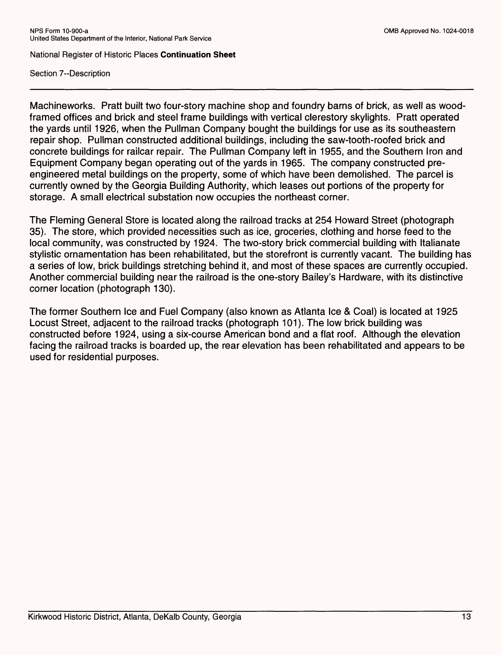Section 7--Description

Machineworks. Pratt built two four-story machine shop and foundry barns of brick, as well as woodframed offices and brick and steel frame buildings with vertical clerestory skylights. Pratt operated the yards until 1926, when the Pullman Company bought the buildings for use as its southeastern repair shop. Pullman constructed additional buildings, including the saw-tooth-roofed brick and concrete buildings for railcar repair. The Pullman Company left in 1955, and the Southern Iron and Equipment Company began operating out of the yards in 1965. The company constructed preengineered metal buildings on the property, some of which have been demolished. The parcel is currently owned by the Georgia Building Authority, which leases out portions of the property for storage. A small electrical substation now occupies the northeast corner.

The Fleming General Store is located along the railroad tracks at 254 Howard Street (photograph 35). The store, which provided necessities such as ice, groceries, clothing and horse feed to the local community, was constructed by 1924. The two-story brick commercial building with Italianate stylistic ornamentation has been rehabilitated, but the storefront is currently vacant. The building has a series of low, brick buildings stretching behind it, and most of these spaces are currently occupied. Another commercial building near the railroad is the one-story Bailey's Hardware, with its distinctive corner location (photograph 130).

The former Southern Ice and Fuel Company (also known as Atlanta Ice & Coal) is located at 1925 Locust Street, adjacent to the railroad tracks (photograph 101). The low brick building was constructed before 1924, using a six-course American bond and a flat roof. Although the elevation facing the railroad tracks is boarded up, the rear elevation has been rehabilitated and appears to be used for residential purposes.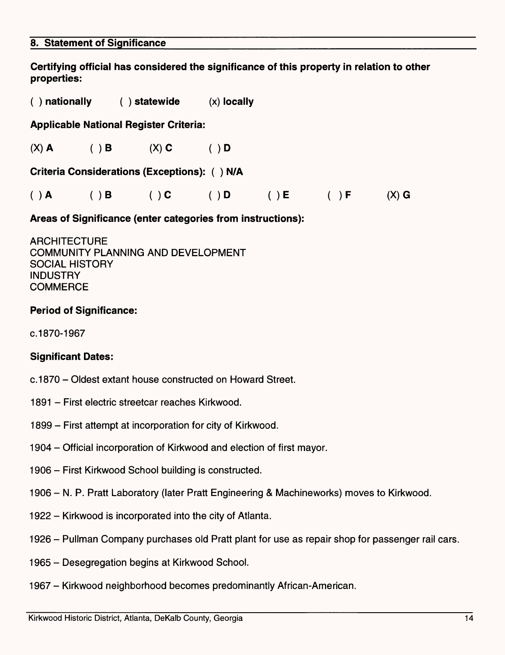#### **8. Statement of Significance**

**Certifying official has considered the significance of this property in relation to other properties:**

**( ) nationally ( ) statewide** (x) **locally**

**Applicable National Register Criteria:**

(X) **A ()B (X) C ( ) D**

**Criteria Considerations (Exceptions): ( ) N/A**

| ( ) A ( ) B | $(\ )$ C | $\begin{pmatrix} 1 & 1 \\ 1 & 1 \end{pmatrix}$ | $(\ )$ $\mathsf{E}$ | ( ) F ( X ) G |  |
|-------------|----------|------------------------------------------------|---------------------|---------------|--|

**Areas of Significance (enter categories from instructions):**

**ARCHITECTURE** COMMUNITY PLANNING AND DEVELOPMENT SOCIAL HISTORY INDUSTRY **COMMERCE** 

# **Period of Significance:**

c. 1870-1967

## **Significant Dates:**

- c.1870 Oldest extant house constructed on Howard Street.
- 1891 First electric streetcar reaches Kirkwood.
- 1899 First attempt at incorporation for city of Kirkwood.
- 1904 Official incorporation of Kirkwood and election of first mayor.
- 1906 First Kirkwood School building is constructed.
- 1906 N. P. Pratt Laboratory (later Pratt Engineering & Machineworks) moves to Kirkwood.
- 1922 Kirkwood is incorporated into the city of Atlanta.
- 1926 Pullman Company purchases old Pratt plant for use as repair shop for passenger rail cars.
- 1965 Desegregation begins at Kirkwood School.
- 1967 Kirkwood neighborhood becomes predominantly African-American.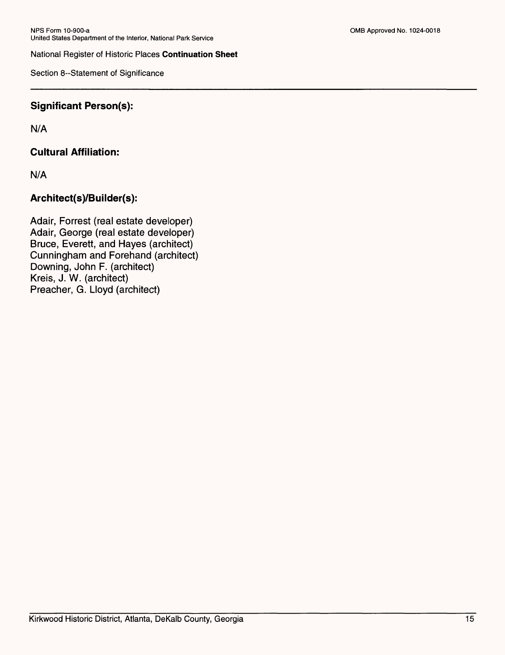Section 8--Statement of Significance

# **Significant Person(s):**

N/A

# **Cultural Affiliation:**

N/A

# **Architect(s)/Builder(s):**

Adair, Forrest (real estate developer) Adair, George (real estate developer) Bruce, Everett, and Hayes (architect) Cunningham and Forehand (architect) Downing, John F. (architect) Kreis, J. W. (architect) Preacher, G. Lloyd (architect)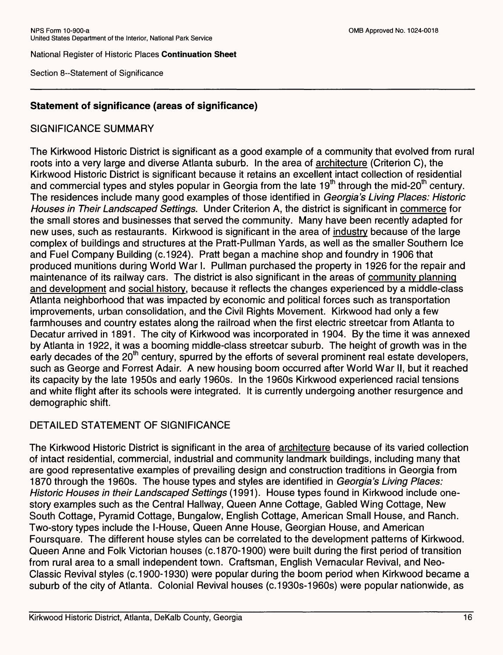Section 8--Statement of Significance

# **Statement of significance (areas of significance)**

# SIGNIFICANCE SUMMARY

The Kirkwood Historic District is significant as a good example of a community that evolved from rural roots into a very large and diverse Atlanta suburb. In the area of architecture (Criterion C), the Kirkwood Historic District is significant because it retains an excellent intact collection of residential and commercial types and styles popular in Georgia from the late  $19<sup>th</sup>$  through the mid-20<sup>th</sup> century. The residences include many good examples of those identified in Georgia's Living Places: Historic Houses in Their Landscaped Settings. Under Criterion A, the district is significant in commerce for the small stores and businesses that served the community. Many have been recently adapted for new uses, such as restaurants. Kirkwood is significant in the area of industry because of the large complex of buildings and structures at the Pratt-Pullman Yards, as well as the smaller Southern Ice and Fuel Company Building (c.1924). Pratt began a machine shop and foundry in 1906 that produced munitions during World War I. Pullman purchased the property in 1926 for the repair and maintenance of its railway cars. The district is also significant in the areas of community planning and development and social history, because it reflects the changes experienced by a middle-class Atlanta neighborhood that was impacted by economic and political forces such as transportation improvements, urban consolidation, and the Civil Rights Movement. Kirkwood had only a few farmhouses and country estates along the railroad when the first electric streetcar from Atlanta to Decatur arrived in 1891. The city of Kirkwood was incorporated in 1904. By the time it was annexed by Atlanta in 1922, it was a booming middle-class streetcar suburb. The height of growth was in the early decades of the 20<sup>th</sup> century, spurred by the efforts of several prominent real estate developers, such as George and Forrest Adair. A new housing boom occurred after World War II, but it reached its capacity by the late 1950s and early 1960s. In the 1960s Kirkwood experienced racial tensions and white flight after its schools were integrated. It is currently undergoing another resurgence and demographic shift.

# DETAILED STATEMENT OF SIGNIFICANCE

The Kirkwood Historic District is significant in the area of architecture because of its varied collection of intact residential, commercial, industrial and community landmark buildings, including many that are good representative examples of prevailing design and construction traditions in Georgia from 1870 through the 1960s. The house types and styles are identified in Georgia's Living Places: Historic Houses in their Landscaped Settings (1991). House types found in Kirkwood include onestory examples such as the Central Hallway, Queen Anne Cottage, Gabled Wing Cottage, New South Cottage, Pyramid Cottage, Bungalow, English Cottage, American Small House, and Ranch. Two-story types include the l-House, Queen Anne House, Georgian House, and American Foursquare. The different house styles can be correlated to the development patterns of Kirkwood. Queen Anne and Folk Victorian houses (c. 1870-1900) were built during the first period of transition from rural area to a small independent town. Craftsman, English Vernacular Revival, and Neo-Classic Revival styles (c. 1900-1930) were popular during the boom period when Kirkwood became a suburb of the city of Atlanta. Colonial Revival houses (c.1930s-1960s) were popular nationwide, as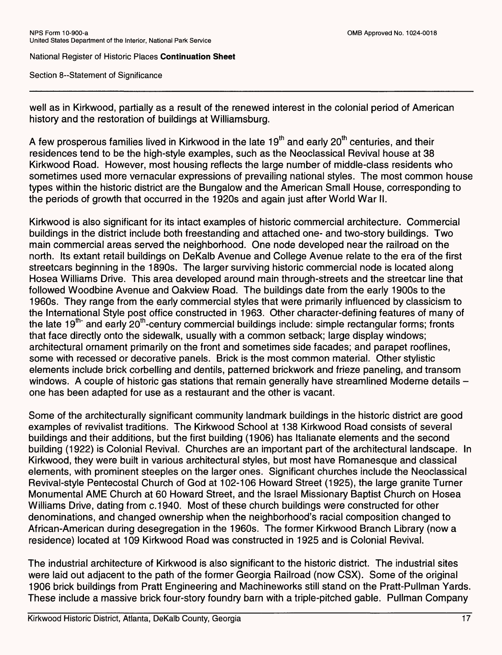Section 8--Statement of Significance

well as in Kirkwood, partially as a result of the renewed interest in the colonial period of American history and the restoration of buildings at Williamsburg.

A few prosperous families lived in Kirkwood in the late  $19<sup>th</sup>$  and early 20<sup>th</sup> centuries, and their residences tend to be the high-style examples, such as the Neoclassical Revival house at 38 Kirkwood Road. However, most housing reflects the large number of middle-class residents who sometimes used more vernacular expressions of prevailing national styles. The most common house types within the historic district are the Bungalow and the American Small House, corresponding to the periods of growth that occurred in the 1920s and again just after World War II.

Kirkwood is also significant for its intact examples of historic commercial architecture. Commercial buildings in the district include both freestanding and attached one- and two-story buildings. Two main commercial areas served the neighborhood. One node developed near the railroad on the north. Its extant retail buildings on DeKalb Avenue and College Avenue relate to the era of the first streetcars beginning in the 1890s. The larger surviving historic commercial node is located along Hosea Williams Drive. This area developed around main through-streets and the streetcar line that followed Woodbine Avenue and Oakview Road. The buildings date from the early 1900s to the 1960s. They range from the early commercial styles that were primarily influenced by classicism to the International Style post office constructed in 1963. Other character-defining features of many of the late  $19^{th}$  and early 20<sup>th</sup>-century commercial buildings include: simple rectangular forms; fronts that face directly onto the sidewalk, usually with a common setback; large display windows; architectural ornament primarily on the front and sometimes side facades; and parapet rooflines, some with recessed or decorative panels. Brick is the most common material. Other stylistic elements include brick corbelling and dentils, patterned brickwork and frieze paneling, and transom windows. A couple of historic gas stations that remain generally have streamlined Moderne details one has been adapted for use as a restaurant and the other is vacant.

Some of the architecturally significant community landmark buildings in the historic district are good examples of revivalist traditions. The Kirkwood School at 138 Kirkwood Road consists of several buildings and their additions, but the first building (1906) has Italianate elements and the second building (1922) is Colonial Revival. Churches are an important part of the architectural landscape. In Kirkwood, they were built in various architectural styles, but most have Romanesque and classical elements, with prominent steeples on the larger ones. Significant churches include the Neoclassical Revival-style Pentecostal Church of God at 102-106 Howard Street (1925), the large granite Turner Monumental AME Church at 60 Howard Street, and the Israel Missionary Baptist Church on Hosea Williams Drive, dating from c.1940. Most of these church buildings were constructed for other denominations, and changed ownership when the neighborhood's racial composition changed to African-American during desegregation in the 1960s. The former Kirkwood Branch Library (now a residence) located at 109 Kirkwood Road was constructed in 1925 and is Colonial Revival.

The industrial architecture of Kirkwood is also significant to the historic district. The industrial sites were laid out adjacent to the path of the former Georgia Railroad (now CSX). Some of the original 1906 brick buildings from Pratt Engineering and Machineworks still stand on the Pratt-Pullman Yards. These include a massive brick four-story foundry barn with a triple-pitched gable. Pullman Company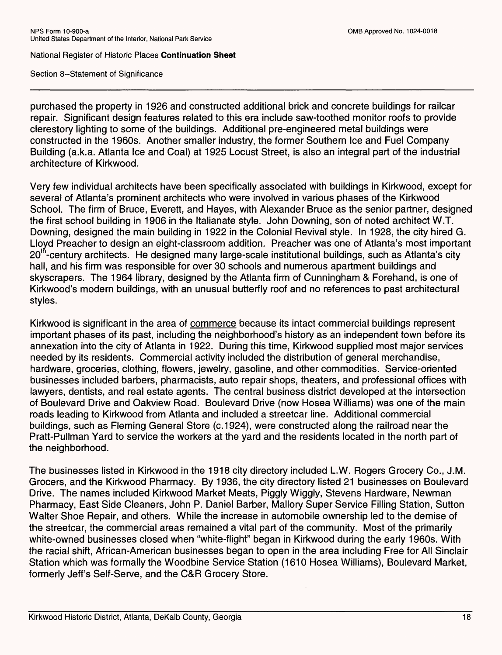Section 8--Statement of Significance

purchased the property in 1926 and constructed additional brick and concrete buildings for railcar repair. Significant design features related to this era include saw-toothed monitor roofs to provide clerestory lighting to some of the buildings. Additional pre-engineered metal buildings were constructed in the 1960s. Another smaller industry, the former Southern Ice and Fuel Company Building (a.k.a. Atlanta Ice and Coal) at 1925 Locust Street, is also an integral part of the industrial architecture of Kirkwood.

Very few individual architects have been specifically associated with buildings in Kirkwood, except for several of Atlanta's prominent architects who were involved in various phases of the Kirkwood School. The firm of Bruce, Everett, and Hayes, with Alexander Bruce as the senior partner, designed the first school building in 1906 in the Italianate style. John Downing, son of noted architect W.T. Downing, designed the main building in 1922 in the Colonial Revival style. In 1928, the city hired G. Lloyd Preacher to design an eight-classroom addition. Preacher was one of Atlanta's most important  $20<sup>th</sup>$ -century architects. He designed many large-scale institutional buildings, such as Atlanta's city hall, and his firm was responsible for over 30 schools and numerous apartment buildings and skyscrapers. The 1964 library, designed by the Atlanta firm of Cunningham & Forehand, is one of Kirkwood's modern buildings, with an unusual butterfly roof and no references to past architectural styles.

Kirkwood is significant in the area of commerce because its intact commercial buildings represent important phases of its past, including the neighborhood's history as an independent town before its annexation into the city of Atlanta in 1922. During this time, Kirkwood supplied most major services needed by its residents. Commercial activity included the distribution of general merchandise, hardware, groceries, clothing, flowers, jewelry, gasoline, and other commodities. Service-oriented businesses included barbers, pharmacists, auto repair shops, theaters, and professional offices with lawyers, dentists, and real estate agents. The central business district developed at the intersection of Boulevard Drive and Oakview Road. Boulevard Drive (now Hosea Williams) was one of the main roads leading to Kirkwood from Atlanta and included a streetcar line. Additional commercial buildings, such as Fleming General Store (c.1924), were constructed along the railroad near the Pratt-Pullman Yard to service the workers at the yard and the residents located in the north part of the neighborhood.

The businesses listed in Kirkwood in the 1918 city directory included L.W. Rogers Grocery Co., J.M. Grocers, and the Kirkwood Pharmacy. By 1936, the city directory listed 21 businesses on Boulevard Drive. The names included Kirkwood Market Meats, Piggly Wiggly, Stevens Hardware, Newman Pharmacy, East Side Cleaners, John P. Daniel Barber, Mallory Super Service Filling Station, Sutton Walter Shoe Repair, and others. While the increase in automobile ownership led to the demise of the streetcar, the commercial areas remained a vital part of the community. Most of the primarily white-owned businesses closed when "white-flight" began in Kirkwood during the early 1960s. With the racial shift, African-American businesses began to open in the area including Free for All Sinclair Station which was formally the Woodbine Service Station (1610 Hosea Williams), Boulevard Market, formerly Jeff's Self-Serve, and the C&R Grocery Store.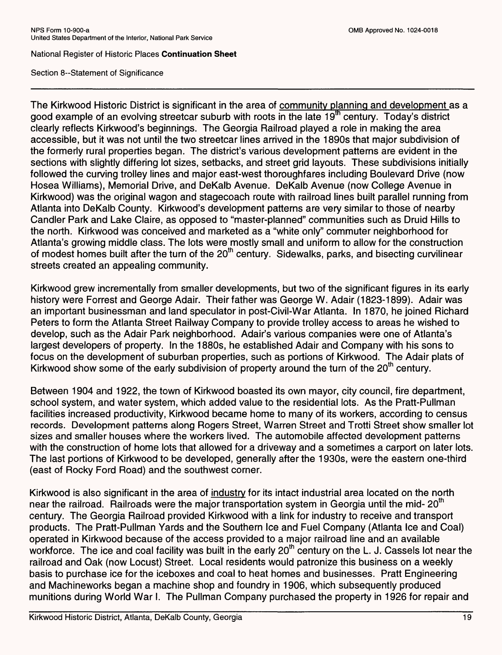Section 8--Statement of Significance

The Kirkwood Historic District is significant in the area of community planning and development as a good example of an evolving streetcar suburb with roots in the late  $19<sup>th</sup>$  century. Today's district clearly reflects Kirkwood's beginnings. The Georgia Railroad played a role in making the area accessible, but it was not until the two streetcar lines arrived in the 1890s that major subdivision of the formerly rural properties began. The district's various development patterns are evident in the sections with slightly differing lot sizes, setbacks, and street grid layouts. These subdivisions initially followed the curving trolley lines and major east-west thoroughfares including Boulevard Drive (now Hosea Williams), Memorial Drive, and DeKalb Avenue. DeKalb Avenue (now College Avenue in Kirkwood) was the original wagon and stagecoach route with railroad lines built parallel running from Atlanta into DeKalb County. Kirkwood's development patterns are very similar to those of nearby Candler Park and Lake Claire, as opposed to "master-planned" communities such as Druid Hills to the north. Kirkwood was conceived and marketed as a "white only" commuter neighborhood for Atlanta's growing middle class. The lots were mostly small and uniform to allow for the construction of modest homes built after the turn of the 20<sup>th</sup> century. Sidewalks, parks, and bisecting curvilinear streets created an appealing community.

Kirkwood grew incrementally from smaller developments, but two of the significant figures in its early history were Forrest and George Adair. Their father was George W. Adair (1823-1899). Adair was an important businessman and land speculator in post-Civil-War Atlanta. In 1870, he joined Richard Peters to form the Atlanta Street Railway Company to provide trolley access to areas he wished to develop, such as the Adair Park neighborhood. Adair's various companies were one of Atlanta's largest developers of property. In the 1880s, he established Adair and Company with his sons to focus on the development of suburban properties, such as portions of Kirkwood. The Adair plats of Kirkwood show some of the early subdivision of property around the turn of the  $20<sup>th</sup>$  century.

Between 1904 and 1922, the town of Kirkwood boasted its own mayor, city council, fire department, school system, and water system, which added value to the residential lots. As the Pratt-Pullman facilities increased productivity, Kirkwood became home to many of its workers, according to census records. Development patterns along Rogers Street, Warren Street and Trotti Street show smaller lot sizes and smaller houses where the workers lived. The automobile affected development patterns with the construction of home lots that allowed for a driveway and a sometimes a carport on later lots. The last portions of Kirkwood to be developed, generally after the 1930s, were the eastern one-third (east of Rocky Ford Road) and the southwest corner.

Kirkwood is also significant in the area of industry for its intact industrial area located on the north near the railroad. Railroads were the major transportation system in Georgia until the mid- $20<sup>th</sup>$ century. The Georgia Railroad provided Kirkwood with a link for industry to receive and transport products. The Pratt-Pullman Yards and the Southern Ice and Fuel Company (Atlanta Ice and Coal) operated in Kirkwood because of the access provided to a major railroad line and an available workforce. The ice and coal facility was built in the early 20<sup>th</sup> century on the L. J. Cassels lot near the railroad and Oak (now Locust) Street. Local residents would patronize this business on a weekly basis to purchase ice for the iceboxes and coal to heat homes and businesses. Pratt Engineering and Machineworks began a machine shop and foundry in 1906, which subsequently produced munitions during World War I. The Pullman Company purchased the property in 1926 for repair and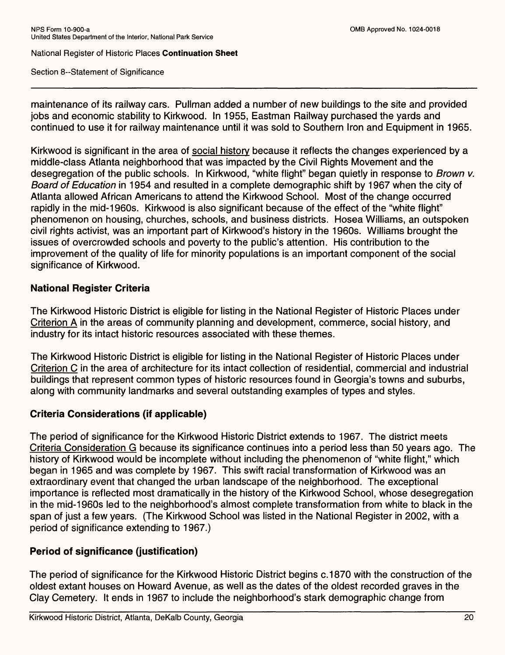Section 8--Statement of Significance

maintenance of its railway cars. Pullman added a number of new buildings to the site and provided jobs and economic stability to Kirkwood. In 1955, Eastman Railway purchased the yards and continued to use it for railway maintenance until it was sold to Southern Iron and Equipment in 1965.

Kirkwood is significant in the area of social history because it reflects the changes experienced by a middle-class Atlanta neighborhood that was impacted by the Civil Rights Movement and the desegregation of the public schools. In Kirkwood, "white flight" began quietly in response to Brown v. Board of Education in 1954 and resulted in a complete demographic shift by 1967 when the city of Atlanta allowed African Americans to attend the Kirkwood School. Most of the change occurred rapidly in the mid-1960s. Kirkwood is also significant because of the effect of the "white flight" phenomenon on housing, churches, schools, and business districts. Hosea Williams, an outspoken civil rights activist, was an important part of Kirkwood's history in the 1960s. Williams brought the issues of overcrowded schools and poverty to the public's attention. His contribution to the improvement of the quality of life for minority populations is an important component of the social significance of Kirkwood.

# **National Register Criteria**

The Kirkwood Historic District is eligible for listing in the National Register of Historic Places under Criterion A in the areas of community planning and development, commerce, social history, and industry for its intact historic resources associated with these themes.

The Kirkwood Historic District is eligible for listing in the National Register of Historic Places under Criterion C in the area of architecture for its intact collection of residential, commercial and industrial buildings that represent common types of historic resources found in Georgia's towns and suburbs, along with community landmarks and several outstanding examples of types and styles.

# **Criteria Considerations (if applicable)**

The period of significance for the Kirkwood Historic District extends to 1967. The district meets Criteria Consideration G because its significance continues into a period less than 50 years ago. The history of Kirkwood would be incomplete without including the phenomenon of "white flight," which began in 1965 and was complete by 1967. This swift racial transformation of Kirkwood was an extraordinary event that changed the urban landscape of the neighborhood. The exceptional importance is reflected most dramatically in the history of the Kirkwood School, whose desegregation in the mid-1960s led to the neighborhood's almost complete transformation from white to black in the span of just a few years. (The Kirkwood School was listed in the National Register in 2002, with a period of significance extending to 1967.)

# **Period of significance (justification)**

The period of significance for the Kirkwood Historic District begins c.1870 with the construction of the oldest extant houses on Howard Avenue, as well as the dates of the oldest recorded graves in the Clay Cemetery. It ends in 1967 to include the neighborhood's stark demographic change from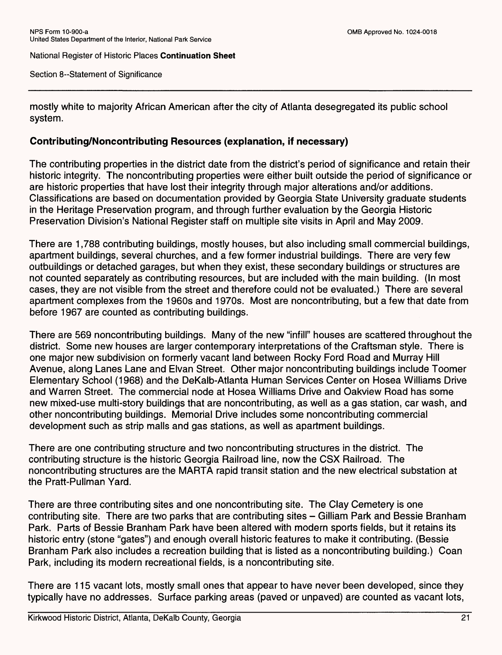Section 8--Statement of Significance

mostly white to majority African American after the city of Atlanta desegregated its public school system.

#### **Contributing/Noncontributing Resources (explanation, if necessary)**

The contributing properties in the district date from the district's period of significance and retain their historic integrity. The noncontributing properties were either built outside the period of significance or are historic properties that have lost their integrity through major alterations and/or additions. Classifications are based on documentation provided by Georgia State University graduate students in the Heritage Preservation program, and through further evaluation by the Georgia Historic Preservation Division's National Register staff on multiple site visits in April and May 2009.

There are 1,788 contributing buildings, mostly houses, but also including small commercial buildings, apartment buildings, several churches, and a few former industrial buildings. There are very few outbuildings or detached garages, but when they exist, these secondary buildings or structures are not counted separately as contributing resources, but are included with the main building. (In most cases, they are not visible from the street and therefore could not be evaluated.) There are several apartment complexes from the 1960s and 1970s. Most are noncontributing, but a few that date from before 1967 are counted as contributing buildings.

There are 569 noncontributing buildings. Many of the new "infill" houses are scattered throughout the district. Some new houses are larger contemporary interpretations of the Craftsman style. There is one major new subdivision on formerly vacant land between Rocky Ford Road and Murray Hill Avenue, along Lanes Lane and Elvan Street. Other major noncontributing buildings include Toomer Elementary School (1968) and the DeKalb-Atlanta Human Services Center on Hosea Williams Drive and Warren Street. The commercial node at Hosea Williams Drive and Oakview Road has some new mixed-use multi-story buildings that are noncontributing, as well as a gas station, car wash, and other noncontributing buildings. Memorial Drive includes some noncontributing commercial development such as strip malls and gas stations, as well as apartment buildings.

There are one contributing structure and two noncontributing structures in the district. The contributing structure is the historic Georgia Railroad line, now the CSX Railroad. The noncontributing structures are the MARTA rapid transit station and the new electrical substation at the Pratt-Pullman Yard.

There are three contributing sites and one noncontributing site. The Clay Cemetery is one contributing site. There are two parks that are contributing sites - Gilliam Park and Bessie Branham Park. Parts of Bessie Branham Park have been altered with modern sports fields, but it retains its historic entry (stone "gates") and enough overall historic features to make it contributing. (Bessie Branham Park also includes a recreation building that is listed as a noncontributing building.) Coan Park, including its modern recreational fields, is a noncontributing site.

There are 115 vacant lots, mostly small ones that appear to have never been developed, since they typically have no addresses. Surface parking areas (paved or unpaved) are counted as vacant lots,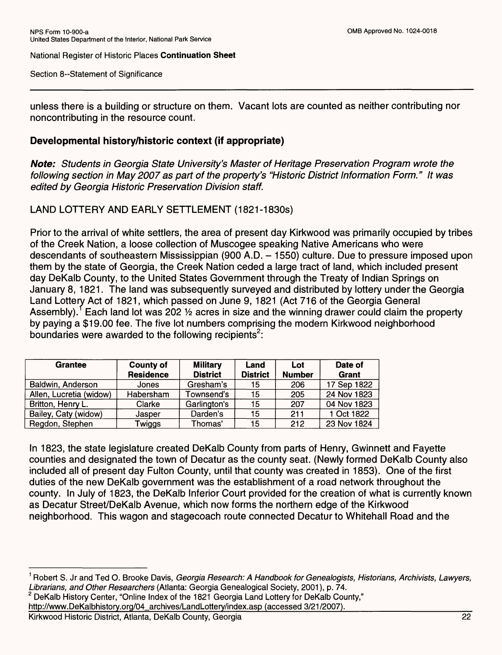Section 8--Statement of Significance

unless there is a building or structure on them. Vacant lots are counted as neither contributing nor noncontributing in the resource count.

## **Developmental history/historic context (if appropriate)**

**Note:** Students in Georgia State University's Master of Heritage Preservation Program wrote the following section in May 2007 as part of the property's "Historic District Information Form." It was edited by Georgia Historic Preservation Division staff.

LAND LOTTERY AND EARLY SETTLEMENT (1821-1830s)

Prior to the arrival of white settlers, the area of present day Kirkwood was primarily occupied by tribes of the Creek Nation, a loose collection of Muscogee speaking Native Americans who were descendants of southeastern Mississippian (900 A.D. - 1550) culture. Due to pressure imposed upon them by the state of Georgia, the Creek Nation ceded a large tract of land, which included present day DeKalb County, to the United States Government through the Treaty of Indian Springs on January 8, 1821. The land was subsequently surveyed and distributed by lottery under the Georgia Land Lottery Act of 1821, which passed on June 9, 1821 (Act 716 of the Georgia General Assembly).<sup>1</sup> Each land lot was 202  $\frac{1}{2}$  acres in size and the winning drawer could claim the property by paying a \$19.00 fee. The five lot numbers comprising the modern Kirkwood neighborhood boundaries were awarded to the following recipients<sup>2</sup>:

| <b>Grantee</b>          | <b>County of</b> | <b>Military</b> | Land            | Lot           | Date of     |
|-------------------------|------------------|-----------------|-----------------|---------------|-------------|
|                         | <b>Residence</b> | <b>District</b> | <b>District</b> | <b>Number</b> | Grant       |
| Baldwin, Anderson       | Jones            | Gresham's       | 15              | 206           | 17 Sep 1822 |
| Allen, Lucretia (widow) | Habersham        | Townsend's      | 15              | 205           | 24 Nov 1823 |
| Britton, Henry L.       | Clarke           | Garlington's    | 15              | 207           | 04 Nov 1823 |
| Bailey, Caty (widow)    | Jasper           | Darden's        | 15              | 211           | 1 Oct 1822  |
| Regdon, Stephen         | Twiggs           | Thomas'         | 15              | 212           | 23 Nov 1824 |

In 1823, the state legislature created DeKalb County from parts of Henry, Gwinnett and Fayette counties and designated the town of Decatur as the county seat. (Newly formed DeKalb County also included all of present day Fulton County, until that county was created in 1853). One of the first duties of the new DeKalb government was the establishment of a road network throughout the county. In July of 1823, the DeKalb Inferior Court provided for the creation of what is currently known as Decatur Street/DeKalb Avenue, which now forms the northern edge of the Kirkwood neighborhood. This wagon and stagecoach route connected Decatur to Whitehall Road and the

<sup>&</sup>lt;sup>1</sup> Robert S. Jr and Ted O. Brooke Davis, Georgia Research: A Handbook for Genealogists, Historians, Archivists, Lawyers, Librarians, and Other Researchers (Atlanta: Georgia Genealogical Society, 2001), p. 74.

<sup>&</sup>lt;sup>2</sup> DeKalb History Center, "Online Index of the 1821 Georgia Land Lottery for DeKalb County,"

http://www.DeKalbhistory.org/04\_archives/LandLottery/index.asp (accessed 3/21/2007).

Kirkwood Historic District, Atlanta, DeKalb County, Georgia 22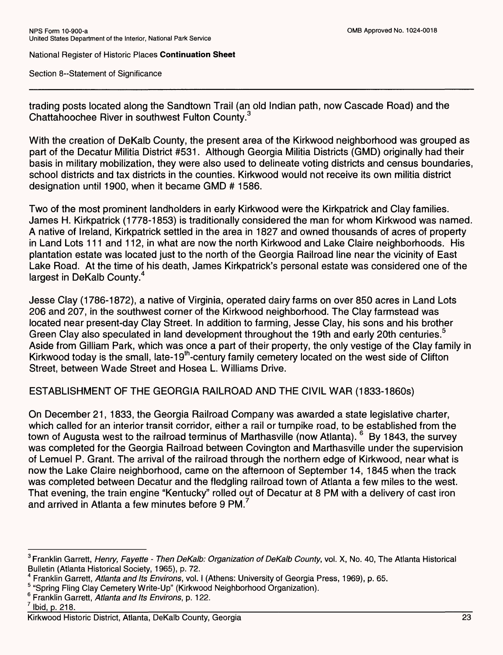Section 8--Statement of Significance

trading posts located along the Sandtown Trail (an old Indian path, now Cascade Road) and the Chattahoochee River in southwest Fulton County.<sup>3</sup>

With the creation of DeKalb County, the present area of the Kirkwood neighborhood was grouped as part of the Decatur Militia District #531. Although Georgia Militia Districts (GMD) originally had their basis in military mobilization, they were also used to delineate voting districts and census boundaries, school districts and tax districts in the counties. Kirkwood would not receive its own militia district designation until 1900, when it became GMD # 1586.

Two of the most prominent landholders in early Kirkwood were the Kirkpatrick and Clay families. James H. Kirkpatrick (1778-1853) is traditionally considered the man for whom Kirkwood was named. A native of Ireland, Kirkpatrick settled in the area in 1827 and owned thousands of acres of property in Land Lots 111 and 112, in what are now the north Kirkwood and Lake Claire neighborhoods. His plantation estate was located just to the north of the Georgia Railroad line near the vicinity of East Lake Road. At the time of his death, James Kirkpatrick's personal estate was considered one of the largest in DeKalb County.<sup>4</sup>

Jesse Clay (1786-1872), a native of Virginia, operated dairy farms on over 850 acres in Land Lots 206 and 207, in the southwest corner of the Kirkwood neighborhood. The Clay farmstead was located near present-day Clay Street. In addition to farming, Jesse Clay, his sons and his brother Green Clay also speculated in land development throughout the 19th and early 20th centuries.<sup>5</sup> Aside from Gilliam Park, which was once a part of their property, the only vestige of the Clay family in Kirkwood today is the small, late-19<sup>th</sup>-century family cemetery located on the west side of Clifton Street, between Wade Street and Hosea L. Williams Drive.

ESTABLISHMENT OF THE GEORGIA RAILROAD AND THE CIVIL WAR (1833-1860s)

On December 21, 1833, the Georgia Railroad Company was awarded a state legislative charter, which called for an interior transit corridor, either a rail or turnpike road, to be established from the town of Augusta west to the railroad terminus of Marthasville (now Atlanta). <sup>6</sup> By 1843, the survey was completed for the Georgia Railroad between Covington and Marthasville under the supervision of Lemuel P. Grant. The arrival of the railroad through the northern edge of Kirkwood, near what is now the Lake Claire neighborhood, came on the afternoon of September 14, 1845 when the track was completed between Decatur and the fledgling railroad town of Atlanta a few miles to the west. That evening, the train engine "Kentucky" rolled out of Decatur at 8 PM with a delivery of cast iron and arrived in Atlanta a few minutes before 9 PM.<sup>7</sup>

<sup>&</sup>lt;sup>3</sup> Franklin Garrett, Henry, Fayette - Then DeKalb: Organization of DeKalb County, vol. X, No. 40, The Atlanta Historical Bulletin (Atlanta Historical Society, 1965), p. 72.

<sup>4</sup> Franklin Garrett, Atlanta and Its Environs, vol. I (Athens: University of Georgia Press, 1969), p. 65.

<sup>5 &</sup>quot;Spring Fling Clay Cemetery Write-Up" (Kirkwood Neighborhood Organization).

<sup>&</sup>lt;sup>6</sup> Franklin Garrett, Atlanta and Its Environs, p. 122.

 $\frac{7}{2}$  Ibid, p. 218.

Kirkwood Historic District, Atlanta, DeKalb County, Georgia 23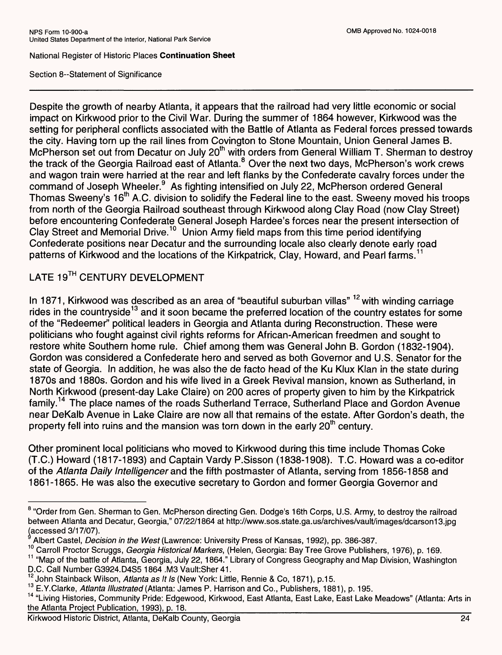Section 8--Statement of Significance

Despite the growth of nearby Atlanta, it appears that the railroad had very little economic or social impact on Kirkwood prior to the Civil War. During the summer of 1864 however, Kirkwood was the setting for peripheral conflicts associated with the Battle of Atlanta as Federal forces pressed towards the city. Having torn up the rail lines from Covington to Stone Mountain, Union General James B. McPherson set out from Decatur on July 20<sup>th</sup> with orders from General William T. Sherman to destroy the track of the Georgia Railroad east of Atlanta.<sup>8</sup> Over the next two days, McPherson's work crews and wagon train were harried at the rear and left flanks by the Confederate cavalry forces under the command of Joseph Wheeler.<sup>9</sup> As fighting intensified on July 22, McPherson ordered General Thomas Sweeny's 16<sup>th</sup> A.C. division to solidify the Federal line to the east. Sweeny moved his troops from north of the Georgia Railroad southeast through Kirkwood along Clay Road (now Clay Street) before encountering Confederate General Joseph Hardee's forces near the present intersection of Clay Street and Memorial Drive.<sup>10</sup> Union Army field maps from this time period identifying Confederate positions near Decatur and the surrounding locale also clearly denote early road patterns of Kirkwood and the locations of the Kirkpatrick, Clay, Howard, and Pearl farms.<sup>1</sup>

# LATE 19TH CENTURY DEVELOPMENT

In 1871, Kirkwood was described as an area of "beautiful suburban villas" <sup>12</sup> with winding carriage rides in the countryside<sup>13</sup> and it soon became the preferred location of the country estates for some of the "Redeemer" political leaders in Georgia and Atlanta during Reconstruction. These were politicians who fought against civil rights reforms for African-American freedmen and sought to restore white Southern home rule. Chief among them was General John B. Gordon (1832-1904). Gordon was considered a Confederate hero and served as both Governor and U.S. Senator for the state of Georgia. In addition, he was also the de facto head of the Ku Klux Klan in the state during 1870s and 1880s. Gordon and his wife lived in a Greek Revival mansion, known as Sutherland, in North Kirkwood (present-day Lake Claire) on 200 acres of property given to him by the Kirkpatrick family. 14 The place names of the roads Sutherland Terrace, Sutherland Place and Gordon Avenue near DeKalb Avenue in Lake Claire are now all that remains of the estate. After Gordon's death, the property fell into ruins and the mansion was torn down in the early  $20<sup>th</sup>$  century.

Other prominent local politicians who moved to Kirkwood during this time include Thomas Coke (T.C.) Howard (1817-1893) and Captain Vardy P.Sisson (1838-1908). T.C. Howard was a co-editor of the Atlanta Daily Intelligencer and the fifth postmaster of Atlanta, serving from 1856-1858 and 1861-1865. He was also the executive secretary to Gordon and former Georgia Governor and

<sup>&</sup>lt;sup>8</sup> "Order from Gen. Sherman to Gen. McPherson directing Gen. Dodge's 16th Corps, U.S. Army, to destroy the railroad between Atlanta and Decatur, Georgia," 07/22/1864 at http://www.sos.state.ga.us/archives/vault/images/dcarson13.jpg (accessed 3/17/07).

Albert Castel, Decision in the West (Lawrence: University Press of Kansas, 1992), pp. 386-387.

<sup>10</sup> Carroll Proctor Scruggs, Georgia Historical Markers, (Helen, Georgia: Bay Tree Grove Publishers, 1976), p. 169.

<sup>&</sup>lt;sup>11</sup> "Map of the battle of Atlanta, Georgia, July 22, 1864." Library of Congress Geography and Map Division, Washington D.C. Call Number G3924.D4S5 1864 .M3 Vault:Sher 41.

<sup>&</sup>lt;sup>12</sup> John Stainback Wilson, Atlanta as It Is (New York: Little, Rennie & Co, 1871), p.15.

<sup>&</sup>lt;sup>13</sup> E.Y.Clarke, Atlanta Illustrated (Atlanta: James P. Harrison and Co., Publishers, 1881), p. 195.

<sup>&</sup>lt;sup>14</sup> "Living Histories, Community Pride: Edgewood, Kirkwood, East Atlanta, East Lake, East Lake Meadows" (Atlanta: Arts in the Atlanta Project Publication, 1993), p. 18.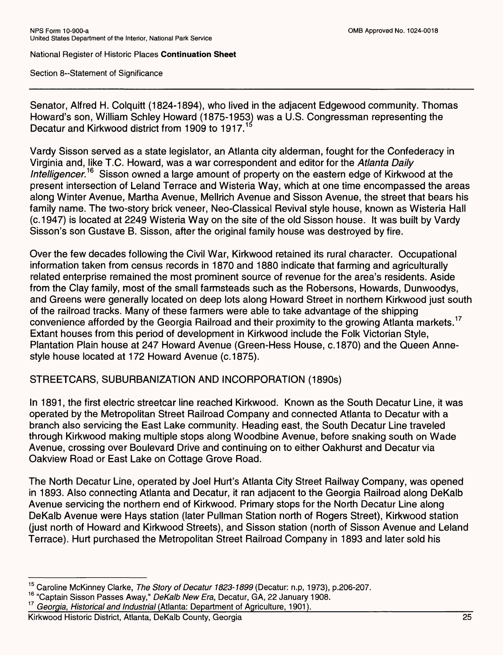Section 8--Statement of Significance

Senator, Alfred H. Colquitt (1824-1894), who lived in the adjacent Edgewood community. Thomas Howard's son, William Schley Howard (1875-1953) was a U.S. Congressman representing the Decatur and Kirkwood district from 1909 to 1917.<sup>15</sup>

Vardy Sisson served as a state legislator, an Atlanta city alderman, fought for the Confederacy in Virginia and, like T.C. Howard, was a war correspondent and editor for the *Atlanta Daily Intelligencer.<sup>16</sup>* Sisson owned a large amount of property on the eastern edge of Kirkwood at the present intersection of Leiand Terrace and Wisteria Way, which at one time encompassed the areas along Winter Avenue, Martha Avenue, Mellrich Avenue and Sisson Avenue, the street that bears his family name. The two-story brick veneer, Neo-Classical Revival style house, known as Wisteria Hall (c.1947) is located at 2249 Wisteria Way on the site of the old Sisson house. It was built by Vardy Sisson's son Gustave B. Sisson, after the original family house was destroyed by fire.

Over the few decades following the Civil War, Kirkwood retained its rural character. Occupational information taken from census records in 1870 and 1880 indicate that farming and agriculturally related enterprise remained the most prominent source of revenue for the area's residents. Aside from the Clay family, most of the small farmsteads such as the Robersons, Howards, Dunwoodys, and Greens were generally located on deep lots along Howard Street in northern Kirkwood just south of the railroad tracks. Many of these farmers were able to take advantage of the shipping convenience afforded by the Georgia Railroad and their proximity to the growing Atlanta markets.<sup>17</sup> Extant houses from this period of development in Kirkwood include the Folk Victorian Style, Plantation Plain house at 247 Howard Avenue (Green-Hess House, c.1870) and the Queen Annestyle house located at 172 Howard Avenue (c.1875).

STREETCARS, SUBURBANIZATION AND INCORPORATION (1890s)

In 1891, the first electric streetcar line reached Kirkwood. Known as the South Decatur Line, it was operated by the Metropolitan Street Railroad Company and connected Atlanta to Decatur with a branch also servicing the East Lake community. Heading east, the South Decatur Line traveled through Kirkwood making multiple stops along Woodbine Avenue, before snaking south on Wade Avenue, crossing over Boulevard Drive and continuing on to either Oakhurst and Decatur via Oakview Road or East Lake on Cottage Grove Road.

The North Decatur Line, operated by Joel Hurt's Atlanta City Street Railway Company, was opened in 1893. Also connecting Atlanta and Decatur, it ran adjacent to the Georgia Railroad along DeKalb Avenue servicing the northern end of Kirkwood. Primary stops for the North Decatur Line along DeKalb Avenue were Hays station (later Pullman Station north of Rogers Street), Kirkwood station (just north of Howard and Kirkwood Streets), and Sisson station (north of Sisson Avenue and Leiand Terrace). Hurt purchased the Metropolitan Street Railroad Company in 1893 and later sold his

<sup>15</sup> Caroline McKinney Clarke, *The Story of Decatur 1823-1899* (Decatur: n.p, 1973), p.206-207.

<sup>16 &</sup>quot;Captain Sisson Passes Away," *DeKalb New Era,* Decatur, GA, 22 January 1908.

<sup>&</sup>lt;sup>17</sup> Georgia, Historical and Industrial (Atlanta: Department of Agriculture, 1901).<br>Kirkwood Historic District. Atlanta. DeKalb County. Georgia

Kirkwood Historic District, Atlanta, DeKalb County, Georgia 25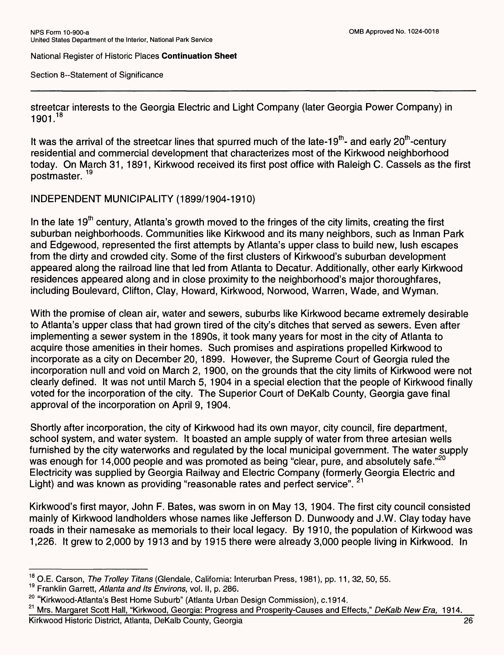Section 8--Statement of Significance

streetcar interests to the Georgia Electric and Light Company (later Georgia Power Company) in 1901.<sup>18</sup>

It was the arrival of the streetcar lines that spurred much of the late-19<sup>th</sup>- and early 20<sup>th</sup>-century residential and commercial development that characterizes most of the Kirkwood neighborhood today. On March 31, 1891, Kirkwood received its first post office with Raleigh C. Cassels as the first postmaster.<sup>19</sup>

INDEPENDENT MUNICIPALITY (1899/1904-1910)

In the late  $19<sup>th</sup>$  century, Atlanta's growth moved to the fringes of the city limits, creating the first suburban neighborhoods. Communities like Kirkwood and its many neighbors, such as Inman Park and Edgewood, represented the first attempts by Atlanta's upper class to build new, lush escapes from the dirty and crowded city. Some of the first clusters of Kirkwood's suburban development appeared along the railroad line that led from Atlanta to Decatur. Additionally, other early Kirkwood residences appeared along and in close proximity to the neighborhood's major thoroughfares, including Boulevard, Clifton, Clay, Howard, Kirkwood, Norwood, Warren, Wade, and Wyman.

With the promise of clean air, water and sewers, suburbs like Kirkwood became extremely desirable to Atlanta's upper class that had grown tired of the city's ditches that served as sewers. Even after implementing a sewer system in the 1890s, it took many years for most in the city of Atlanta to acquire those amenities in their homes. Such promises and aspirations propelled Kirkwood to incorporate as a city on December 20, 1899. However, the Supreme Court of Georgia ruled the incorporation null and void on March 2, 1900, on the grounds that the city limits of Kirkwood were not clearly defined. It was not until March 5, 1904 in a special election that the people of Kirkwood finally voted for the incorporation of the city. The Superior Court of DeKalb County, Georgia gave final approval of the incorporation on April 9, 1904.

Shortly after incorporation, the city of Kirkwood had its own mayor, city council, fire department, school system, and water system. It boasted an ample supply of water from three artesian wells furnished by the city waterworks and regulated by the local municipal government. The water supply was enough for 14,000 people and was promoted as being "clear, pure, and absolutely safe."<sup>20</sup> Electricity was supplied by Georgia Railway and Electric Company (formerly Georgia Electric and Light) and was known as providing "reasonable rates and perfect service".

Kirkwood's first mayor, John F. Bates, was sworn in on May 13, 1904. The first city council consisted mainly of Kirkwood landholders whose names like Jefferson D. Dunwoody and J.W. Clay today have roads in their namesake as memorials to their local legacy. By 1910, the population of Kirkwood was 1,226. It grew to 2,000 by 1913 and by 1915 there were already 3,000 people living in Kirkwood. In

O.E. Carson, *The Trolley Titans* (Glendale, California: Interurban Press, 1981), pp. 11, 32, 50, 55.

Franklin Garrett, *Atlanta and Its Environs,* vol. II, p. 286.

<sup>&</sup>lt;sup>20</sup> "Kirkwood-Atlanta's Best Home Suburb" (Atlanta Urban Design Commission), c.1914.

<sup>21</sup> Mrs. Margaret Scott Hall, "Kirkwood, Georgia: Progress and Prosperity-Causes and Effects," *DeKalb New Era,* 1914.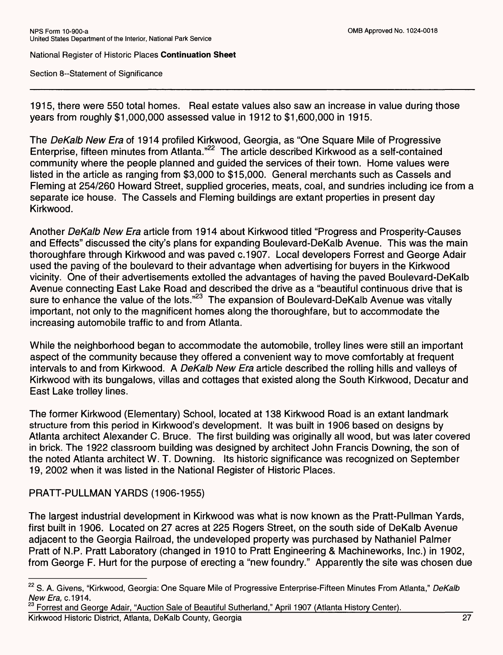Section 8--Statement of Significance

1915, there were 550 total homes. Real estate values also saw an increase in value during those years from roughly \$1,000,000 assessed value in 1912 to \$1,600,000 in 1915.

The *DeKalb New Era* of 1914 profiled Kirkwood, Georgia, as "One Square Mile of Progressive Enterprise, fifteen minutes from Atlanta."22 The article described Kirkwood as a self-contained community where the people planned and guided the services of their town. Home values were listed in the article as ranging from \$3,000 to \$15,000. General merchants such as Cassels and Fleming at 254/260 Howard Street, supplied groceries, meats, coal, and sundries including ice from a separate ice house. The Cassels and Fleming buildings are extant properties in present day Kirkwood.

Another *DeKalb New Era* article from 1914 about Kirkwood titled "Progress and Prosperity-Causes and Effects" discussed the city's plans for expanding Boulevard-DeKalb Avenue. This was the main thoroughfare through Kirkwood and was paved c.1907. Local developers Forrest and George Adair used the paving of the boulevard to their advantage when advertising for buyers in the Kirkwood vicinity. One of their advertisements extolled the advantages of having the paved Boulevard-DeKalb Avenue connecting East Lake Road and described the drive as a "beautiful continuous drive that is sure to enhance the value of the lots."<sup>23</sup> The expansion of Boulevard-DeKalb Avenue was vitally important, not only to the magnificent homes along the thoroughfare, but to accommodate the increasing automobile traffic to and from Atlanta.

While the neighborhood began to accommodate the automobile, trolley lines were still an important aspect of the community because they offered a convenient way to move comfortably at frequent intervals to and from Kirkwood. A *DeKalb New Era* article described the rolling hills and valleys of Kirkwood with its bungalows, villas and cottages that existed along the South Kirkwood, Decatur and East Lake trolley lines.

The former Kirkwood (Elementary) School, located at 138 Kirkwood Road is an extant landmark structure from this period in Kirkwood's development. It was built in 1906 based on designs by Atlanta architect Alexander C. Bruce. The first building was originally all wood, but was later covered in brick. The 1922 classroom building was designed by architect John Francis Downing, the son of the noted Atlanta architect W. T. Downing. Its historic significance was recognized on September 19, 2002 when it was listed in the National Register of Historic Places.

### PRATT-PULLMAN YARDS (1906-1955)

The largest industrial development in Kirkwood was what is now known as the Pratt-Pullman Yards, first built in 1906. Located on 27 acres at 225 Rogers Street, on the south side of DeKalb Avenue adjacent to the Georgia Railroad, the undeveloped property was purchased by Nathaniel Palmer Pratt of N.P. Pratt Laboratory (changed in 1910 to Pratt Engineering & Machineworks, Inc.) in 1902, from George F. Hurt for the purpose of erecting a "new foundry." Apparently the site was chosen due

<sup>23</sup> Forrest and George Adair, "Auction Sale of Beautiful Sutherland," April 1907 (Atlanta History Center).<br>Kirkwood Historic District, Atlanta, DeKalb County, Georgia Kirkwood Historic District, Atlanta, DeKalb County, Georgia 27

<sup>22</sup> S. A. Givens, "Kirkwood, Georgia: One Square Mile of Progressive Enterprise-Fifteen Minutes From Atlanta," *DeKalb New Era,* c.1914.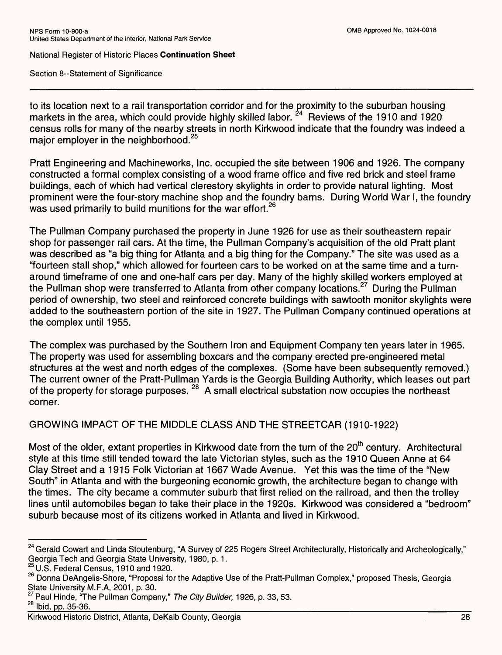Section 8--Statement of Significance

to its location next to a rail transportation corridor and for the proximity to the suburban housing markets in the area, which could provide highly skilled labor.  $24$  Reviews of the 1910 and 1920 census rolls for many of the nearby streets in north Kirkwood indicate that the foundry was indeed a major employer in the neighborhood.<sup>25</sup>

Pratt Engineering and Machineworks, Inc. occupied the site between 1906 and 1926. The company constructed a formal complex consisting of a wood frame office and five red brick and steel frame buildings, each of which had vertical clerestory skylights in order to provide natural lighting. Most prominent were the four-story machine shop and the foundry barns. During World War I, the foundry was used primarily to build munitions for the war effort.<sup>26</sup>

The Pullman Company purchased the property in June 1926 for use as their southeastern repair shop for passenger rail cars. At the time, the Pullman Company's acquisition of the old Pratt plant was described as "a big thing for Atlanta and a big thing for the Company." The site was used as a "fourteen stall shop," which allowed for fourteen cars to be worked on at the same time and a turnaround timeframe of one and one-half cars per day. Many of the highly skilled workers employed at the Pullman shop were transferred to Atlanta from other company locations.<sup>27</sup> During the Pullman period of ownership, two steel and reinforced concrete buildings with sawtooth monitor skylights were added to the southeastern portion of the site in 1927. The Pullman Company continued operations at the complex until 1955.

The complex was purchased by the Southern Iron and Equipment Company ten years later in 1965. The property was used for assembling boxcars and the company erected pre-engineered metal structures at the west and north edges of the complexes. (Some have been subsequently removed.) The current owner of the Pratt-Pullman Yards is the Georgia Building Authority, which leases out part of the property for storage purposes.<sup>28</sup> A small electrical substation now occupies the northeast corner.

## GROWING IMPACT OF THE MIDDLE CLASS AND THE STREETCAR (1910-1922)

Most of the older, extant properties in Kirkwood date from the turn of the  $20<sup>th</sup>$  century. Architectural style at this time still tended toward the late Victorian styles, such as the 1910 Queen Anne at 64 Clay Street and a 1915 Folk Victorian at 1667 Wade Avenue. Yet this was the time of the "New South" in Atlanta and with the burgeoning economic growth, the architecture began to change with the times. The city became a commuter suburb that first relied on the railroad, and then the trolley lines until automobiles began to take their place in the 1920s. Kirkwood was considered a "bedroom" suburb because most of its citizens worked in Atlanta and lived in Kirkwood.

<sup>&</sup>lt;sup>24</sup> Gerald Cowart and Linda Stoutenburg, "A Survey of 225 Rogers Street Architecturally, Historically and Archeologically," Georgia Tech and Georgia State University, 1980, p. 1.

 $^{25}$  U.S. Federal Census, 1910 and 1920.

<sup>&</sup>lt;sup>26</sup> Donna DeAngelis-Shore, "Proposal for the Adaptive Use of the Pratt-Pullman Complex," proposed Thesis, Georgia State University M.F.A, 2001, p. 30.

<sup>&</sup>lt;sup>27</sup> Paul Hinde, "The Pullman Company," *The City Builder*, 1926, p. 33, 53.<br><sup>28</sup> Ibid. pp. 35-36.

<sup>28</sup> Ibid, pp. 35-36.\_\_\_\_\_\_\_\_\_\_\_\_\_\_\_\_\_\_\_\_\_\_\_\_\_\_\_\_\_\_\_\_\_\_\_\_\_\_\_\_\_\_\_\_\_\_\_\_\_\_\_\_\_\_\_\_\_\_\_\_

Kirkwood Historic District, Atlanta, DeKalb County, Georgia 28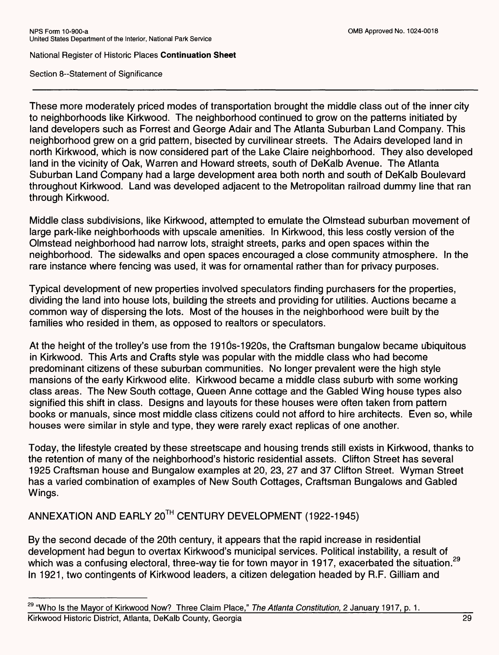Section 8--Statement of Significance

These more moderately priced modes of transportation brought the middle class out of the inner city to neighborhoods like Kirkwood. The neighborhood continued to grow on the patterns initiated by land developers such as Forrest and George Adair and The Atlanta Suburban Land Company. This neighborhood grew on a grid pattern, bisected by curvilinear streets. The Adairs developed land in north Kirkwood, which is now considered part of the Lake Claire neighborhood. They also developed land in the vicinity of Oak, Warren and Howard streets, south of DeKalb Avenue. The Atlanta Suburban Land Company had a large development area both north and south of DeKalb Boulevard throughout Kirkwood. Land was developed adjacent to the Metropolitan railroad dummy line that ran through Kirkwood.

Middle class subdivisions, like Kirkwood, attempted to emulate the Olmstead suburban movement of large park-like neighborhoods with upscale amenities. In Kirkwood, this less costly version of the Olmstead neighborhood had narrow lots, straight streets, parks and open spaces within the neighborhood. The sidewalks and open spaces encouraged a close community atmosphere. In the rare instance where fencing was used, it was for ornamental rather than for privacy purposes.

Typical development of new properties involved speculators finding purchasers for the properties, dividing the land into house lots, building the streets and providing for utilities. Auctions became a common way of dispersing the lots. Most of the houses in the neighborhood were built by the families who resided in them, as opposed to realtors or speculators.

At the height of the trolley's use from the 191ds-1920s, the Craftsman bungalow became ubiquitous in Kirkwood. This Arts and Crafts style was popular with the middle class who had become predominant citizens of these suburban communities. No longer prevalent were the high style mansions of the early Kirkwood elite. Kirkwood became a middle class suburb with some working class areas. The New South cottage, Queen Anne cottage and the Gabled Wing house types also signified this shift in class. Designs and layouts for these houses were often taken from pattern books or manuals, since most middle class citizens could not afford to hire architects. Even so, while houses were similar in style and type, they were rarely exact replicas of one another.

Today, the lifestyle created by these streetscape and housing trends still exists in Kirkwood, thanks to the retention of many of the neighborhood's historic residential assets. Clifton Street has several 1925 Craftsman house and Bungalow examples at 20, 23, 27 and 37 Clifton Street. Wyman Street has a varied combination of examples of New South Cottages, Craftsman Bungalows and Gabled Wings.

ANNEXATION AND EARLY 20™ CENTURY DEVELOPMENT (1922-1945)

By the second decade of the 20th century, it appears that the rapid increase in residential development had begun to overtax Kirkwood's municipal services. Political instability, a result of which was a confusing electoral, three-way tie for town mayor in 1917, exacerbated the situation.<sup>29</sup> In 1921, two contingents of Kirkwood leaders, a citizen delegation headed by R.F. Gilliam and

<sup>&</sup>lt;sup>29</sup> "Who Is the Mayor of Kirkwood Now? Three Claim Place," The Atlanta Constitution, 2 January 1917, p. 1. Kirkwood Historic District, Atlanta, DeKalb County, Georgia 29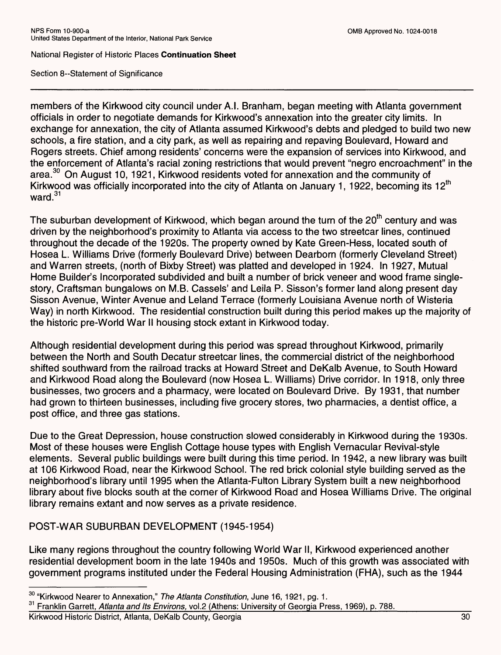Section 8--Statement of Significance

members of the Kirkwood city council under A.I. Branham, began meeting with Atlanta government officials in order to negotiate demands for Kirkwood's annexation into the greater city limits. In exchange for annexation, the city of Atlanta assumed Kirkwood's debts and pledged to build two new schools, a fire station, and a city park, as well as repairing and repaving Boulevard, Howard and Rogers streets. Chief among residents' concerns were the expansion of services into Kirkwood, and the enforcement of Atlanta's racial zoning restrictions that would prevent "negro encroachment" in the area.<sup>30</sup> On August 10, 1921, Kirkwood residents voted for annexation and the community of Kirkwood was officially incorporated into the city of Atlanta on January 1, 1922, becoming its 12<sup>th</sup> ward.<sup>31</sup>

The suburban development of Kirkwood, which began around the turn of the  $20<sup>th</sup>$  century and was driven by the neighborhood's proximity to Atlanta via access to the two streetcar lines, continued throughout the decade of the 1920s. The property owned by Kate Green-Hess, located south of Hosea L. Williams Drive (formerly Boulevard Drive) between Dearborn (formerly Cleveland Street) and Warren streets, (north of Bixby Street) was platted and developed in 1924. In 1927, Mutual Home Builder's Incorporated subdivided and built a number of brick veneer and wood frame singlestory, Craftsman bungalows on M.B. Cassels' and Leila P. Sisson's former land along present day Sisson Avenue, Winter Avenue and Leland Terrace (formerly Louisiana Avenue north of Wisteria Way) in north Kirkwood. The residential construction built during this period makes up the majority of the historic pre-World War II housing stock extant in Kirkwood today.

Although residential development during this period was spread throughout Kirkwood, primarily between the North and South Decatur streetcar lines, the commercial district of the neighborhood shifted southward from the railroad tracks at Howard Street and DeKalb Avenue, to South Howard and Kirkwood Road along the Boulevard (now Hosea L. Williams) Drive corridor. In 1918, only three businesses, two grocers and a pharmacy, were located on Boulevard Drive. By 1931, that number had grown to thirteen businesses, including five grocery stores, two pharmacies, a dentist office, a post office, and three gas stations.

Due to the Great Depression, house construction slowed considerably in Kirkwood during the 1930s. Most of these houses were English Cottage house types with English Vernacular Revival-style elements. Several public buildings were built during this time period. In 1942, a new library was built at 106 Kirkwood Road, near the Kirkwood School. The red brick colonial style building served as the neighborhood's library until 1995 when the Atlanta-Fulton Library System built a new neighborhood library about five blocks south at the corner of Kirkwood Road and Hosea Williams Drive. The original library remains extant and now serves as a private residence.

POST-WAR SUBURBAN DEVELOPMENT (1945-1954)

Like many regions throughout the country following World War II, Kirkwood experienced another residential development boom in the late 1940s and 1950s. Much of this growth was associated with government programs instituted under the Federal Housing Administration (FHA), such as the 1944

<sup>30 &</sup>quot;Kirkwood Nearer to Annexation," *The Atlanta Constitution,* June 16, 1921, pg. 1.

<sup>&</sup>lt;sup>31</sup> Franklin Garrett, Atlanta and Its Environs, vol.2 (Athens: University of Georgia Press, 1969), p. 788.

Kirkwood Historic District, Atlanta, DeKalb County, Georgia 30 30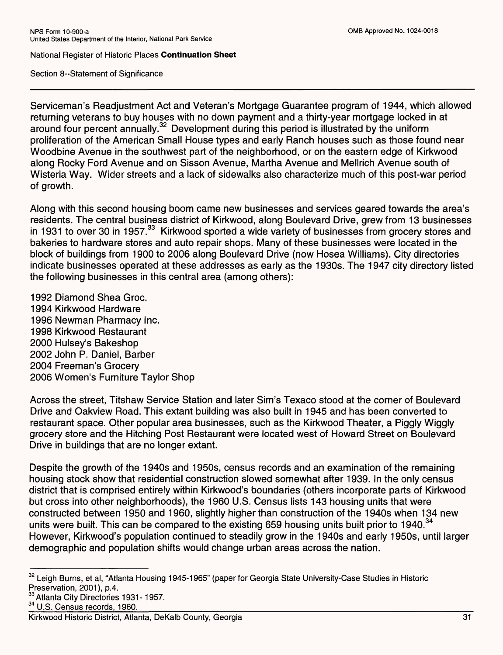Section 8--Statement of Significance

Serviceman's Readjustment Act and Veteran's Mortgage Guarantee program of 1944, which allowed returning veterans to buy houses with no down payment and a thirty-year mortgage locked in at around four percent annually.<sup>32</sup> Development during this period is illustrated by the uniform proliferation of the American Small House types and early Ranch houses such as those found near Woodbine Avenue in the southwest part of the neighborhood, or on the eastern edge of Kirkwood along Rocky Ford Avenue and on Sisson Avenue, Martha Avenue and Mellrich Avenue south of Wisteria Way. Wider streets and a lack of sidewalks also characterize much of this post-war period of growth.

Along with this second housing boom came new businesses and services geared towards the area's residents. The central business district of Kirkwood, along Boulevard Drive, grew from 13 businesses in 1931 to over 30 in 1957.<sup>33</sup> Kirkwood sported a wide variety of businesses from grocery stores and bakeries to hardware stores and auto repair shops. Many of these businesses were located in the block of buildings from 1900 to 2006 along Boulevard Drive (now Hosea Williams). City directories indicate businesses operated at these addresses as early as the 1930s. The 1947 city directory listed the following businesses in this central area (among others):

1992 Diamond Shea Groc. 1994 Kirkwood Hardware 1996 Newman Pharmacy Inc. 1998 Kirkwood Restaurant 2000 Hulsey's Bakeshop 2002 John P. Daniel, Barber 2004 Freeman's Grocery 2006 Women's Furniture Taylor Shop

Across the street, Titshaw Service Station and later Sim's Texaco stood at the corner of Boulevard Drive and Oakview Road. This extant building was also built in 1945 and has been converted to restaurant space. Other popular area businesses, such as the Kirkwood Theater, a Piggly Wiggly grocery store and the Hitching Post Restaurant were located west of Howard Street on Boulevard Drive in buildings that are no longer extant.

Despite the growth of the 1940s and 1950s, census records and an examination of the remaining housing stock show that residential construction slowed somewhat after 1939. In the only census district that is comprised entirely within Kirkwood's boundaries (others incorporate parts of Kirkwood but cross into other neighborhoods), the 1960 U.S. Census lists 143 housing units that were constructed between 1950 and 1960, slightly higher than construction of the 1940s when 134 new units were built. This can be compared to the existing 659 housing units built prior to 1940.<sup>34</sup> However, Kirkwood's population continued to steadily grow in the 1940s and early 1950s, until larger demographic and population shifts would change urban areas across the nation.

<sup>34</sup> U.S. Census records, 1960.

Kirkwood Historic District, Atlanta, DeKalb County, Georgia 31

<sup>&</sup>lt;sup>32</sup> Leigh Burns, et al, "Atlanta Housing 1945-1965" (paper for Georgia State University-Case Studies in Historic Preservation, 2001), p.4.

<sup>&</sup>lt;sup>33</sup> Atlanta City Directories 1931-1957.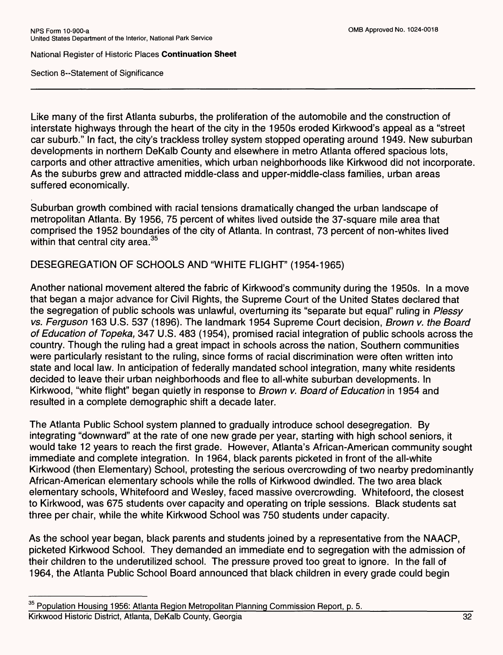Section 8--Statement of Significance

Like many of the first Atlanta suburbs, the proliferation of the automobile and the construction of interstate highways through the heart of the city in the 1950s eroded Kirkwood's appeal as a "street car suburb." In fact, the city's trackless trolley system stopped operating around 1949. New suburban developments in northern DeKalb County and elsewhere in metro Atlanta offered spacious lots, carports and other attractive amenities, which urban neighborhoods like Kirkwood did not incorporate. As the suburbs grew and attracted middle-class and upper-middle-class families, urban areas suffered economically.

Suburban growth combined with racial tensions dramatically changed the urban landscape of metropolitan Atlanta. By 1956, 75 percent of whites lived outside the 37-square mile area that comprised the 1952 boundaries of the city of Atlanta. In contrast, 73 percent of non-whites lived within that central city area.<sup>35</sup>

## DESEGREGATION OF SCHOOLS AND "WHITE FLIGHT" (1954-1965)

Another national movement altered the fabric of Kirkwood's community during the 1950s. In a move that began a major advance for Civil Rights, the Supreme Court of the United States declared that the segregation of public schools was unlawful, overturning its "separate but equal" ruling in *Plessy vs. Ferguson* 163 U.S. 537 (1896). The landmark 1954 Supreme Court decision, *Brown v. the Board of Education of Topeka,* 347 U.S. 483 (1954), promised racial integration of public schools across the country. Though the ruling had a great impact in schools across the nation, Southern communities were particularly resistant to the ruling, since forms of racial discrimination were often written into state and local law. In anticipation of federally mandated school integration, many white residents decided to leave their urban neighborhoods and flee to all-white suburban developments. In Kirkwood, "white flight" began quietly in response to *Brown v. Board of Education* in 1954 and resulted in a complete demographic shift a decade later.

The Atlanta Public School system planned to gradually introduce school desegregation. By integrating "downward" at the rate of one new grade per year, starting with high school seniors, it would take 12 years to reach the first grade. However, Atlanta's African-American community sought immediate and complete integration. In 1964, black parents picketed in front of the all-white Kirkwood (then Elementary) School, protesting the serious overcrowding of two nearby predominantly African-American elementary schools while the rolls of Kirkwood dwindled. The two area black elementary schools, Whitefoord and Wesley, faced massive overcrowding. Whitefoord, the closest to Kirkwood, was 675 students over capacity and operating on triple sessions. Black students sat three per chair, while the white Kirkwood School was 750 students under capacity.

As the school year began, black parents and students joined by a representative from the NAACP, picketed Kirkwood School. They demanded an immediate end to segregation with the admission of their children to the underutilized school. The pressure proved too great to ignore. In the fall of 1964, the Atlanta Public School Board announced that black children in every grade could begin

<sup>&</sup>lt;sup>35</sup> Population Housing 1956: Atlanta Region Metropolitan Planning Commission Report, p. 5. Kirkwood Historic District, Atlanta, DeKalb County, Georgia 32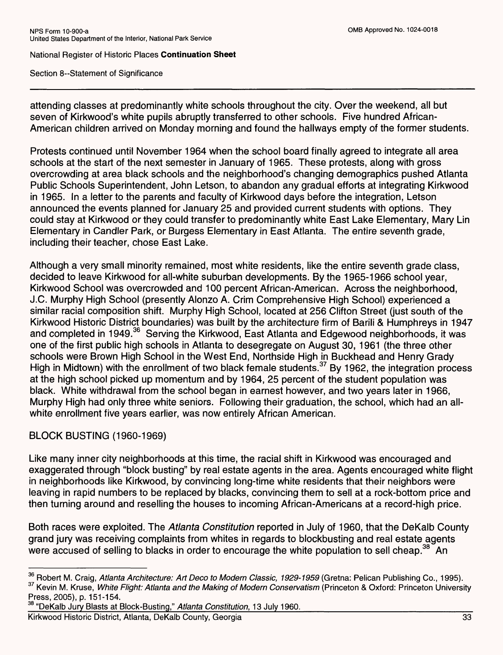Section 8--Statement of Significance

attending classes at predominantly white schools throughout the city. Over the weekend, all but seven of Kirkwood's white pupils abruptly transferred to other schools. Five hundred African-American children arrived on Monday morning and found the hallways empty of the former students.

Protests continued until November 1964 when the school board finally agreed to integrate all area schools at the start of the next semester in January of 1965. These protests, along with gross overcrowding at area black schools and the neighborhood's changing demographics pushed Atlanta Public Schools Superintendent, John Letson, to abandon any gradual efforts at integrating Kirkwood in 1965. In a letter to the parents and faculty of Kirkwood days before the integration, Letson announced the events planned for January 25 and provided current students with options. They could stay at Kirkwood or they could transfer to predominantly white East Lake Elementary, Mary Lin Elementary in Candler Park, or Burgess Elementary in East Atlanta. The entire seventh grade, including their teacher, chose East Lake.

Although a very small minority remained, most white residents, like the entire seventh grade class, decided to leave Kirkwood for all-white suburban developments. By the 1965-1966 school year, Kirkwood School was overcrowded and 100 percent African-American. Across the neighborhood, J.C. Murphy High School (presently Alonzo A. Crim Comprehensive High School) experienced a similar racial composition shift. Murphy High School, located at 256 Clifton Street (just south of the Kirkwood Historic District boundaries) was built by the architecture firm of Barili & Humphreys in 1947 and completed in 1949.36 Serving the Kirkwood, East Atlanta and Edgewood neighborhoods, it was one of the first public high schools in Atlanta to desegregate on August 30, 1961 (the three other schools were Brown High School in the West End, Northside High in Buckhead and Henry Grady High in Midtown) with the enrollment of two black female students.<sup>37</sup> By 1962, the integration process at the high school picked up momentum and by 1964, 25 percent of the student population was black. White withdrawal from the school began in earnest however, and two years later in 1966, Murphy High had only three white seniors. Following their graduation, the school, which had an allwhite enrollment five years earlier, was now entirely African American.

### BLOCK BUSTING (1960-1969)

Like many inner city neighborhoods at this time, the racial shift in Kirkwood was encouraged and exaggerated through "block busting" by real estate agents in the area. Agents encouraged white flight in neighborhoods like Kirkwood, by convincing long-time white residents that their neighbors were leaving in rapid numbers to be replaced by blacks, convincing them to sell at a rock-bottom price and then turning around and reselling the houses to incoming African-Americans at a record-high price.

Both races were exploited. The *Atlanta Constitution* reported in July of 1960, that the DeKalb County grand jury was receiving complaints from whites in regards to blockbusting and real estate agents were accused of selling to blacks in order to encourage the white population to sell cheap.<sup>38</sup> An

<sup>38</sup> "DeKalb Jury Blasts at Block-Busting," Atlanta Constitution, 13 July 1960.

Kirkwood Historic District, Atlanta, DeKalb County, Georgia 33

<sup>&</sup>lt;sup>36</sup> Robert M. Craig, *Atlanta Architecture: Art Deco to Modern Classic, 1929-1959* (Gretna: Pelican Publishing Co., 1995). <sup>37</sup> Kevin M. Kruse, *White Flight: Atlanta and the Making of Modern Conservatism* (Princeton & Oxford: Princeton University Press, 2005), p. 151-154.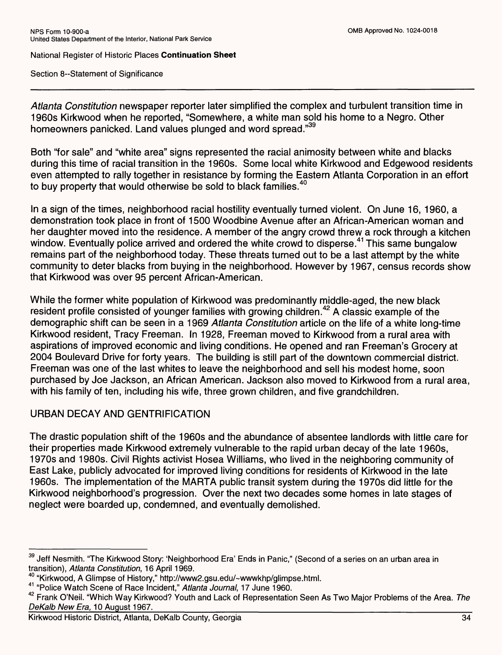Section 8--Statement of Significance

*Atlanta Constitution* newspaper reporter later simplified the complex and turbulent transition time in 1960s Kirkwood when he reported, "Somewhere, a white man sold his home to a Negro. Other homeowners panicked. Land values plunged and word spread."39

Both "for sale" and "white area" signs represented the racial animosity between white and blacks during this time of racial transition in the 1960s. Some local white Kirkwood and Edgewood residents even attempted to rally together in resistance by forming the Eastern Atlanta Corporation in an effort to buy property that would otherwise be sold to black families.<sup>40</sup>

In a sign of the times, neighborhood racial hostility eventually turned violent. On June 16, 1960, a demonstration took place in front of 1500 Woodbine Avenue after an African-American woman and her daughter moved into the residence. A member of the angry crowd threw a rock through a kitchen window. Eventually police arrived and ordered the white crowd to disperse.<sup>41</sup> This same bungalow remains part of the neighborhood today. These threats turned out to be a last attempt by the white community to deter blacks from buying in the neighborhood. However by 1967, census records show that Kirkwood was over 95 percent African-American.

While the former white population of Kirkwood was predominantly middle-aged, the new black resident profile consisted of younger families with growing children.<sup>42</sup> A classic example of the demographic shift can be seen in a 1969 *Atlanta Constitution* article on the life of a white long-time Kirkwood resident, Tracy Freeman. In 1928, Freeman moved to Kirkwood from a rural area with aspirations of improved economic and living conditions. He opened and ran Freeman's Grocery at 2004 Boulevard Drive for forty years. The building is still part of the downtown commercial district. Freeman was one of the last whites to leave the neighborhood and sell his modest home, soon purchased by Joe Jackson, an African American. Jackson also moved to Kirkwood from a rural area, with his family of ten, including his wife, three grown children, and five grandchildren.

## URBAN DECAY AND GENTRIFICATION

The drastic population shift of the 1960s and the abundance of absentee landlords with little care for their properties made Kirkwood extremely vulnerable to the rapid urban decay of the late 1960s, 1970s and 1980s. Civil Rights activist Hosea Williams, who lived in the neighboring community of East Lake, publicly advocated for improved living conditions for residents of Kirkwood in the late 1960s. The implementation of the MARTA public transit system during the 1970s did little for the Kirkwood neighborhood's progression. Over the next two decades some homes in late stages of neglect were boarded up, condemned, and eventually demolished.

<sup>&</sup>lt;sup>39</sup> Jeff Nesmith. "The Kirkwood Story: 'Neighborhood Era' Ends in Panic," (Second of a series on an urban area in transition), *Atlanta Constitution,* 16 April 1969.

<sup>40 &</sup>quot;Kirkwood, A Glimpse of History," http://www2.gsu.edu/~wwwkhp/glimpse.html.

<sup>41 &</sup>quot;Police Watch Scene of Race Incident," *Atlanta Journal,* 17 June 1960.

<sup>42</sup> Frank O'Neil. "Which Way Kirkwood? Youth and Lack of Representation Seen As Two Major Problems of the Area. *The*  DeKalb New Era, 10 August 1967.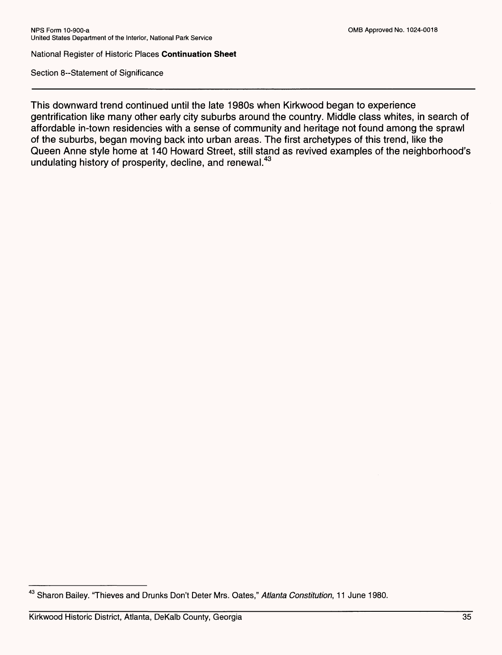Section 8--Statement of Significance

This downward trend continued until the late 1980s when Kirkwood began to experience gentrification like many other early city suburbs around the country. Middle class whites, in search of affordable in-town residencies with a sense of community and heritage not found among the sprawl of the suburbs, began moving back into urban areas. The first archetypes of this trend, like the Queen Anne style home at 140 Howard Street, still stand as revived examples of the neighborhood's undulating history of prosperity, decline, and renewal.<sup>43</sup>

<sup>43</sup> Sharon Bailey. "Thieves and Drunks Don't Deter Mrs. Gates," *Atlanta Constitution,* 11 June 1980.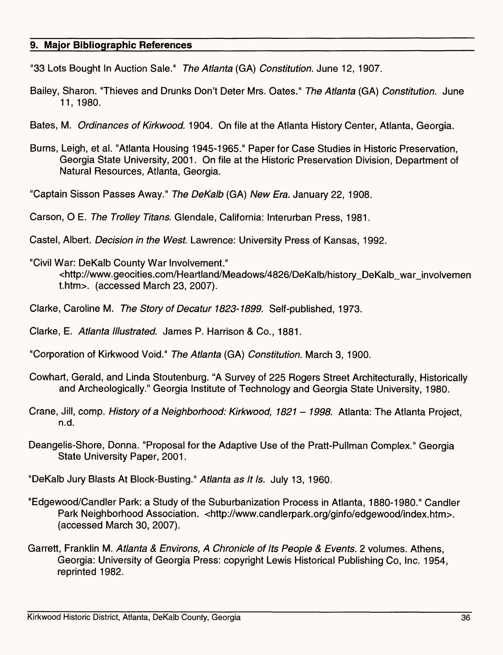#### **9. Major Bibliographic References**

"33 Lots Bought In Auction Sale." *The Atlanta* (GA) *Constitution.* June 12, 1907.

- Bailey, Sharon. "Thieves and Drunks Don't Deter Mrs. Oates." *The Atlanta* (GA) *Constitution.* June 11, 1980.
- Bates, M. *Ordinances of Kirkwood.* 1904. On file at the Atlanta History Center, Atlanta, Georgia.
- Burns, Leigh, et al. "Atlanta Housing 1945-1965." Paper for Case Studies in Historic Preservation, Georgia State University, 2001. On file at the Historic Preservation Division, Department of Natural Resources, Atlanta, Georgia.
- "Captain Sisson Passes Away." *The DeKalb* (GA) *New Era.* January 22, 1908.

Carson, O E. *The Trolley Titans.* Glendale, California: Interurban Press, 1981.

- Castel, Albert. *Decision in the West.* Lawrence: University Press of Kansas, 1992.
- "Civil War: DeKalb County War Involvement." <http://www.geocities.com/Heartland/Meadows/4826/DeKalb/history\_DeKalb\_war\_involvemen  $t.$ htm $>$ . (accessed March 23, 2007).
- Clarke, Caroline M. *The Story of Decatur 1823-1899.* Self-published, 1973.
- Clarke, E. *Atlanta Illustrated.* James P. Harrison & Co., 1881.
- "Corporation of Kirkwood Void." *The Atlanta* (GA) *Constitution.* March 3, 1900.
- Cowhart, Gerald, and Linda Stoutenburg. "A Survey of 225 Rogers Street Architecturally, Historically and Archeologically." Georgia Institute of Technology and Georgia State University, 1980.
- Crane, Jill, comp. *History of a Neighborhood: Kirkwood, 1821 1998.* Atlanta: The Atlanta Project, n.d.
- Deangelis-Shore, Donna. "Proposal for the Adaptive Use of the Pratt-Pullman Complex." Georgia State University Paper, 2001.

"DeKalb Jury Blasts At Block-Busting." *Atlanta as It Is.* July 13, 1960.

- "Edgewood/Candler Park: a Study of the Suburbanization Process in Atlanta, 1880-1980." Candler Park Neighborhood Association. <http://www.candlerpark.org/ginfo/edgewood/index.htm>. (accessed March 30, 2007).
- Garrett, Franklin M. *Atlanta & Environs, A Chronicle of Its People & Events.* 2 volumes. Athens, Georgia: University of Georgia Press: copyright Lewis Historical Publishing Co, Inc. 1954, reprinted 1982.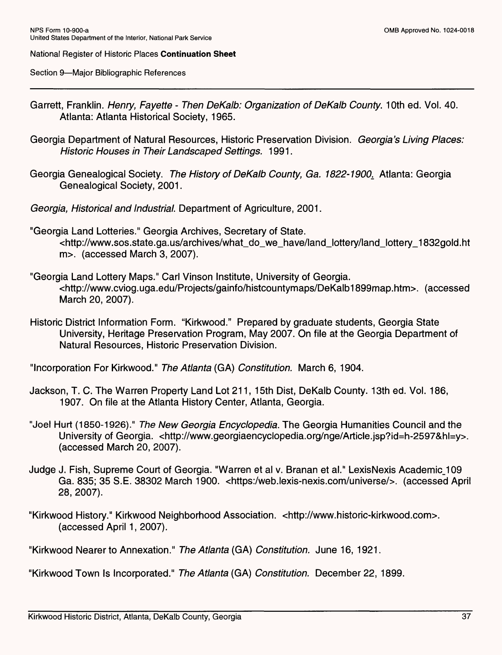Section 9—Major Bibliographic References

- Garrett, Franklin. *Henry, Fayette Then DeKalb: Organization of DeKalb County*. 10th ed. Vol. 40. Atlanta: Atlanta Historical Society, 1965.
- Georgia Department of Natural Resources, Historic Preservation Division. *Georgia's Living Places: Historic Houses in Their Landscaped Settings.* 1991.
- Georgia Genealogical Society. *The History of DeKalb County, Ga. 1822-1900^* Atlanta: Georgia Genealogical Society, 2001.
- *Georgia, Historical and Industrial.* Department of Agriculture, 2001.
- "Georgia Land Lotteries." Georgia Archives, Secretary of State. <http://www.sos.state.ga.us/archives/what\_do\_we\_have/land\_lottery/land\_lottery\_1832gold.ht m>. (accessed March 3, 2007).
- "Georgia Land Lottery Maps." Carl Vinson Institute, University of Georgia. <http://www.cviog.uga.edu/Projects/gainfo/histcountymaps/DeKalb1899map.htm>. (accessed March 20, 2007).
- Historic District Information Form. "Kirkwood." Prepared by graduate students, Georgia State University, Heritage Preservation Program, May 2007. On file at the Georgia Department of Natural Resources, Historic Preservation Division.

"Incorporation For Kirkwood." *The Atlanta* (GA) *Constitution.* March 6, 1904.

- Jackson, T. C. The Warren Property Land Lot 211, 15th Dist, DeKalb County. 13th ed. Vol. 186, 1907. On file at the Atlanta History Center, Atlanta, Georgia.
- "Joel Hurt (1850-1926)." *The New Georgia Encyclopedia.* The Georgia Humanities Council and the University of Georgia. <http://www.georgiaencyclopedia.org/nge/Article.jsp?id=h-2597&hl=y>. (accessed March 20, 2007).
- Judge J. Fish, Supreme Court of Georgia. "Warren et al v. Branan et al." LexisNexis Academic\_109 Ga. 835; 35 S.E. 38302 March 1900. <https:/web.lexis-nexis.com/universe/>. (accessed April 28, 2007).
- "Kirkwood History." Kirkwood Neighborhood Association, <http://www.historic-kirkwood.com>. (accessed April 1, 2007).

"Kirkwood Nearer to Annexation." *The Atlanta* (GA) *Constitution.* June 16, 1921.

"Kirkwood Town Is Incorporated." *The Atlanta (GA) Constitution.* December 22, 1899.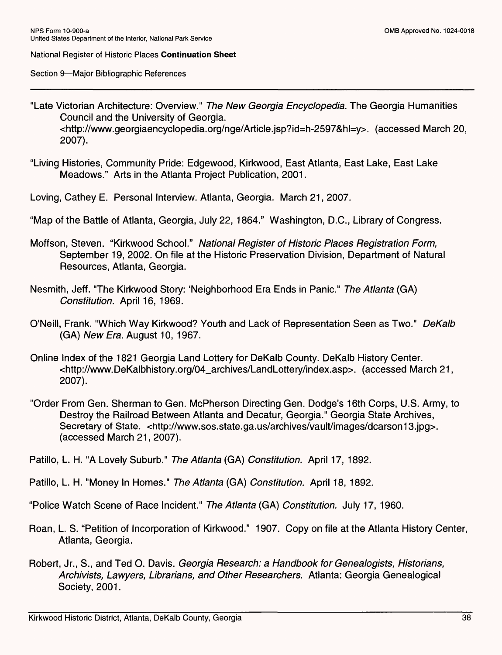Section 9—Major Bibliographic References

- "Late Victorian Architecture: Overview." *The New Georgia Encyclopedia.* The Georgia Humanities Council and the University of Georgia. <http://www.georgiaencyclopedia.org/nge/Article.jsp?id=h-2597&hl=y>. (accessed March 20, 2007).
- "Living Histories, Community Pride: Edgewood, Kirkwood, East Atlanta, East Lake, East Lake Meadows." Arts in the Atlanta Project Publication, 2001.
- Loving, Cathey E. Personal Interview. Atlanta, Georgia. March 21, 2007.
- "Map of the Battle of Atlanta, Georgia, July 22, 1864." Washington, D.C., Library of Congress.
- Moffson, Steven. "Kirkwood School." *National Register of Historic Places Registration Form,*  September 19, 2002. On file at the Historic Preservation Division, Department of Natural Resources, Atlanta, Georgia.
- Nesmith, Jeff. "The Kirkwood Story: 'Neighborhood Era Ends in Panic." *The Atlanta* (GA) *Constitution.* April 16, 1969.
- O'Neill, Frank. "Which Way Kirkwood? Youth and Lack of Representation Seen as Two." *DeKalb*  (GA) *New Era.* August 10, 1967.
- Online Index of the 1821 Georgia Land Lottery for DeKalb County. DeKalb History Center. <http://www.DeKalbhistory.org/04\_archives/LandLottery/index.asp>. (accessed March 21, 2007).
- "Order From Gen. Sherman to Gen. McPherson Directing Gen. Dodge's 16th Corps, U.S. Army, to Destroy the Railroad Between Atlanta and Decatur, Georgia." Georgia State Archives, Secretary of State. <http://www.sos.state.ga.us/archives/vault/images/dcarson13.jpg>. (accessed March 21, 2007).
- Patillo, L. H. "A Lovely Suburb." *The Atlanta* (GA) *Constitution.* April 17, 1892.
- Patillo, L. H. "Money In Homes." *The Atlanta* (GA) *Constitution.* April 18, 1892.
- "Police Watch Scene of Race Incident." *The Atlanta* (GA) *Constitution.* July 17, 1960.
- Roan, L. S. "Petition of Incorporation of Kirkwood." 1907. Copy on file at the Atlanta History Center, Atlanta, Georgia.
- Robert, Jr., S., and Ted O. Davis. *Georgia Research: a Handbook for Genealogists, Historians, Archivists, Lawyers, Librarians, and Other Researchers.* Atlanta: Georgia Genealogical Society, 2001.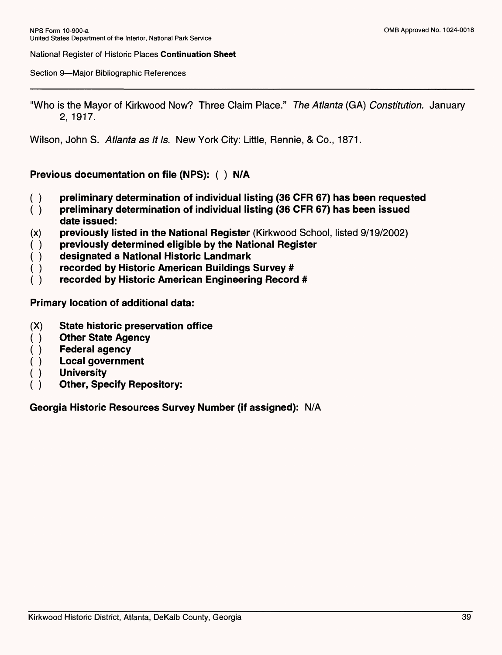Section 9—Major Bibliographic References

"Who is the Mayor of Kirkwood Now? Three Claim Place." *The Atlanta* (GA) *Constitution.* January 2, 1917.

Wilson, John S. *Atlanta as It Is.* New York City: Little, Rennie, & Co., 1871.

## **Previous documentation on file (NPS): ( ) N/A**

- **( ) preliminary determination of individual listing (36 CFR 67) has been requested**
- **( ) preliminary determination of individual listing (36 CFR 67) has been issued date issued:**
- **(x) previously listed in the National Register (Kirkwood School, listed 9/19/2002)**
- **( ) previously determined eligible by the National Register**
- **( ) designated a National Historic Landmark**
- **( ) recorded by Historic American Buildings Survey #**
- **( ) recorded by Historic American Engineering Record #**

**Primary location of additional data:**

- **(X) State historic preservation office**
- **( ) Other State Agency**
- **( ) Federal agency**
- **( ) Local government**
- **( ) University**
- **( ) Other, Specify Repository:**

**Georgia Historic Resources Survey Number (if assigned): N/A**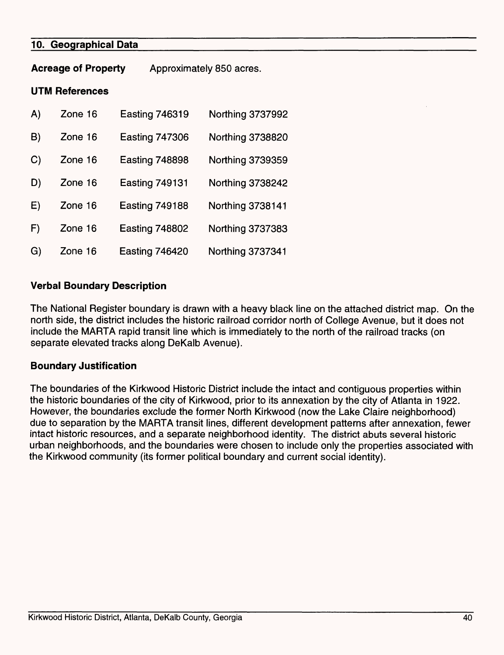## **10. Geographical Data**

**Acreage of Property**  Approximately 850 acres.

#### **UTM References**

| A) | Zone 16 | <b>Easting 746319</b> | <b>Northing 3737992</b> |
|----|---------|-----------------------|-------------------------|
| B) | Zone 16 | <b>Easting 747306</b> | Northing 3738820        |
| C) | Zone 16 | <b>Easting 748898</b> | Northing 3739359        |
| D) | Zone 16 | <b>Easting 749131</b> | <b>Northing 3738242</b> |
| E) | Zone 16 | <b>Easting 749188</b> | Northing 3738141        |
| F) | Zone 16 | <b>Easting 748802</b> | Northing 3737383        |
| G) | Zone 16 | <b>Easting 746420</b> | <b>Northing 3737341</b> |

### **Verbal Boundary Description**

The National Register boundary is drawn with a heavy black line on the attached district map. On the north side, the district includes the historic railroad corridor north of College Avenue, but it does not include the MARTA rapid transit line which is immediately to the north of the railroad tracks (on separate elevated tracks along DeKalb Avenue).

### **Boundary Justification**

The boundaries of the Kirkwood Historic District include the intact and contiguous properties within the historic boundaries of the city of Kirkwood, prior to its annexation by the city of Atlanta in 1922. However, the boundaries exclude the former North Kirkwood (now the Lake Claire neighborhood) due to separation by the MARTA transit lines, different development patterns after annexation, fewer intact historic resources, and a separate neighborhood identity. The district abuts several historic urban neighborhoods, and the boundaries were chosen to include only the properties associated with the Kirkwood community (its former political boundary and current social identity).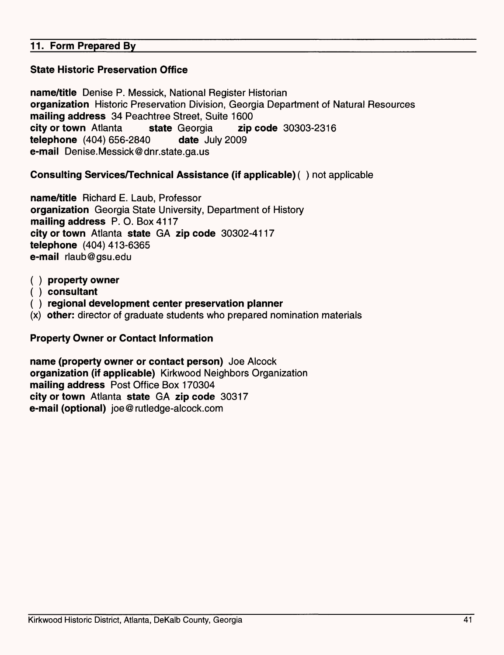# **11. Form Prepared By**

# **State Historic Preservation Office**

**name/title** Denise P. Messick, National Register Historian **organization** Historic Preservation Division, Georgia Department of Natural Resources **mailing address** 34 Peachtree Street, Suite 1600 **city or town** Atlanta **state** Georgia **zip code** 30303-2316 **telephone** (404) 656-2840 **date** July 2009 **e-mail** Denise.Messick®dnr.state.ga.us

# **Consulting Services/Technical Assistance (if applicable)** ( ) not applicable

**name/title** Richard E. Laub, Professor **organization** Georgia State University, Department of History **mailing address P. O. Box** 4117 **city or town** Atlanta **state GA zip code** 30302-4117 **telephone** (404) 413-6365 **e-mail** rlaub@gsu.edu

- **( ) property owner**
- **( ) consultant**
- **( ) regional development center preservation planner**
- **(x) other:** director of graduate students who prepared nomination materials

### **Property Owner or Contact Information**

**name (property owner or contact person)** Joe Alcock **organization (if applicable)** Kirkwood Neighbors Organization **mailing address** Post Office Box 170304 **city or town** Atlanta **state GA zip code** 30317 **e-mail (optional)** joe@rutledge-alcock.com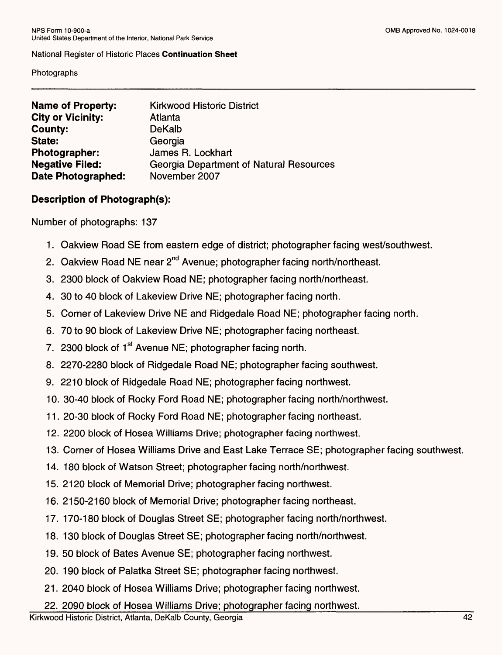#### Photographs

| <b>Kirkwood Historic District</b>              |
|------------------------------------------------|
|                                                |
| Atlanta                                        |
| <b>DeKalb</b>                                  |
| Georgia                                        |
| James R. Lockhart                              |
| <b>Georgia Department of Natural Resources</b> |
| November 2007                                  |
|                                                |

# **Description of Photograph(s):**

Number of photographs: 137

- 1. Oakview Road SE from eastern edge of district; photographer facing west/southwest.
- 2. Oakview Road NE near 2<sup>nd</sup> Avenue; photographer facing north/northeast.
- 3. 2300 block of Oakview Road NE; photographer facing north/northeast.
- 4. 30 to 40 block of Lakeview Drive NE; photographer facing north.
- 5. Corner of Lakeview Drive NE and Ridgedale Road NE; photographer facing north.
- 6. 70 to 90 block of Lakeview Drive NE; photographer facing northeast.
- 7. 2300 block of 1<sup>st</sup> Avenue NE; photographer facing north.
- 8. 2270-2280 block of Ridgedale Road NE; photographer facing southwest.
- 9. 2210 block of Ridgedale Road NE; photographer facing northwest.
- 10. 30-40 block of Rocky Ford Road NE; photographer facing north/northwest.
- 11. 20-30 block of Rocky Ford Road NE; photographer facing northeast.
- 12. 2200 block of Hosea Williams Drive; photographer facing northwest.
- 13. Corner of Hosea Williams Drive and East Lake Terrace SE; photographer facing southwest.
- 14. 180 block of Watson Street; photographer facing north/northwest.
- 15. 2120 block of Memorial Drive; photographer facing northwest.
- 16. 2150-2160 block of Memorial Drive; photographer facing northeast.
- 17. 170-180 block of Douglas Street SE; photographer facing north/northwest.
- 18. 130 block of Douglas Street SE; photographer facing north/northwest.
- 19. 50 block of Bates Avenue SE; photographer facing northwest.
- 20. 190 block of Palatka Street SE; photographer facing northwest.
- 21. 2040 block of Hosea Williams Drive; photographer facing northwest.
- 22. 2090 block of Hosea Williams Drive; photographer facing northwest.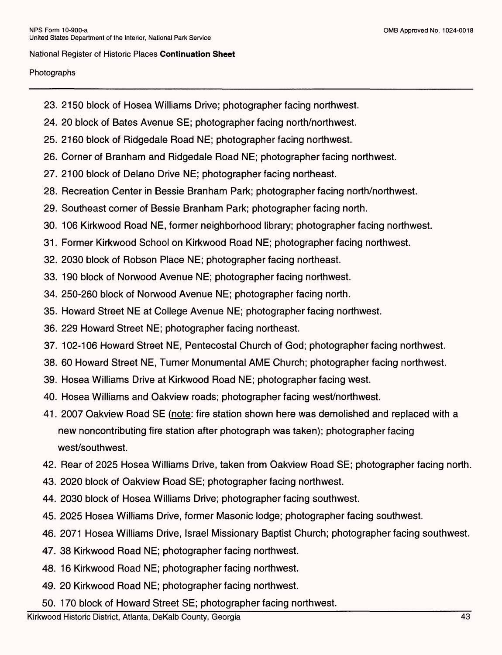#### Photographs

- 23. 2150 block of Hosea Williams Drive; photographer facing northwest.
- 24. 20 block of Bates Avenue SE; photographer facing north/northwest.
- 25. 2160 block of Ridgedale Road NE; photographer facing northwest.
- 26. Corner of Branham and Ridgedale Road NE; photographer facing northwest.
- 27. 2100 block of Delano Drive NE; photographer facing northeast.
- 28. Recreation Center in Bessie Branham Park; photographer facing north/northwest.
- 29. Southeast corner of Bessie Branham Park; photographer facing north.
- 30. 106 Kirkwood Road NE, former neighborhood library; photographer facing northwest.
- 31. Former Kirkwood School on Kirkwood Road NE; photographer facing northwest.
- 32. 2030 block of Robson Place NE; photographer facing northeast.
- 33. 190 block of Norwood Avenue NE; photographer facing northwest.
- 34. 250-260 block of Norwood Avenue NE; photographer facing north.
- 35. Howard Street NE at College Avenue NE; photographer facing northwest.
- 36. 229 Howard Street NE; photographer facing northeast.
- 37. 102-106 Howard Street NE, Pentecostal Church of God; photographer facing northwest.
- 38. 60 Howard Street NE, Turner Monumental AME Church; photographer facing northwest.
- 39. Hosea Williams Drive at Kirkwood Road NE; photographer facing west.
- 40. Hosea Williams and Oakview roads; photographer facing west/northwest.
- 41. 2007 Oakview Road SE (note: fire station shown here was demolished and replaced with a new noncontributing fire station after photograph was taken); photographer facing west/southwest.
- 42. Rear of 2025 Hosea Williams Drive, taken from Oakview Road SE; photographer facing north.
- 43. 2020 block of Oakview Road SE; photographer facing northwest.
- 44. 2030 block of Hosea Williams Drive; photographer facing southwest.
- 45. 2025 Hosea Williams Drive, former Masonic lodge; photographer facing southwest.
- 46. 2071 Hosea Williams Drive, Israel Missionary Baptist Church; photographer facing southwest.
- 47. 38 Kirkwood Road NE; photographer facing northwest.
- 48. 16 Kirkwood Road NE; photographer facing northwest.
- 49. 20 Kirkwood Road NE; photographer facing northwest.
- 50. 170 block of Howard Street SE; photographer facing northwest.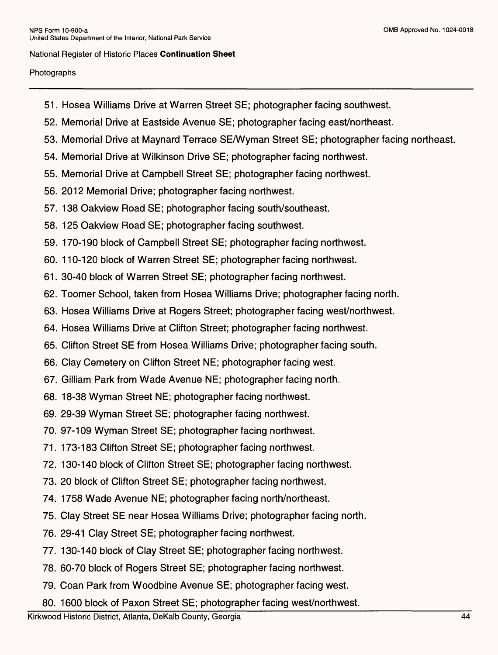#### Photographs

- 51. Hosea Williams Drive at Warren Street SE; photographer facing southwest.
- 52. Memorial Drive at Eastside Avenue SE; photographer facing east/northeast.
- 53. Memorial Drive at Maynard Terrace SE/Wyman Street SE; photographer facing northeast.
- 54. Memorial Drive at Wilkinson Drive SE; photographer facing northwest.
- 55. Memorial Drive at Campbell Street SE; photographer facing northwest.
- 56. 2012 Memorial Drive; photographer facing northwest.
- 57. 138 Oakview Road SE; photographer facing south/southeast.
- 58. 125 Oakview Road SE; photographer facing southwest.
- 59. 170-190 block of Campbell Street SE; photographer facing northwest.
- 60. 110-120 block of Warren Street SE; photographer facing northwest.
- 61. 30-40 block of Warren Street SE; photographer facing northwest.
- 62. Toomer School, taken from Hosea Williams Drive; photographer facing north.
- 63. Hosea Williams Drive at Rogers Street; photographer facing west/northwest.
- 64. Hosea Williams Drive at Clifton Street; photographer facing northwest.
- 65. Clifton Street SE from Hosea Williams Drive; photographer facing south.
- 66. Clay Cemetery on Clifton Street NE; photographer facing west.
- 67. Gilliam Park from Wade Avenue NE; photographer facing north.
- 68. 18-38 Wyman Street NE; photographer facing northwest.
- 69. 29-39 Wyman Street SE; photographer facing northwest.
- 70. 97-109 Wyman Street SE; photographer facing northwest.
- 71. 173-183 Clifton Street SE; photographer facing northwest.
- 72. 130-140 block of Clifton Street SE; photographer facing northwest.
- 73. 20 block of Clifton Street SE; photographer facing northwest.
- 74. 1758 Wade Avenue NE; photographer facing north/northeast.
- 75. Clay Street SE near Hosea Williams Drive; photographer facing north.
- 76. 29-41 Clay Street SE; photographer facing northwest.
- 77. 130-140 block of Clay Street SE; photographer facing northwest.
- 78. 60-70 block of Rogers Street SE; photographer facing northwest.
- 79. Coan Park from Woodbine Avenue SE; photographer facing west.
- 80. 1600 block of Paxon Street SE; photographer facing west/northwest.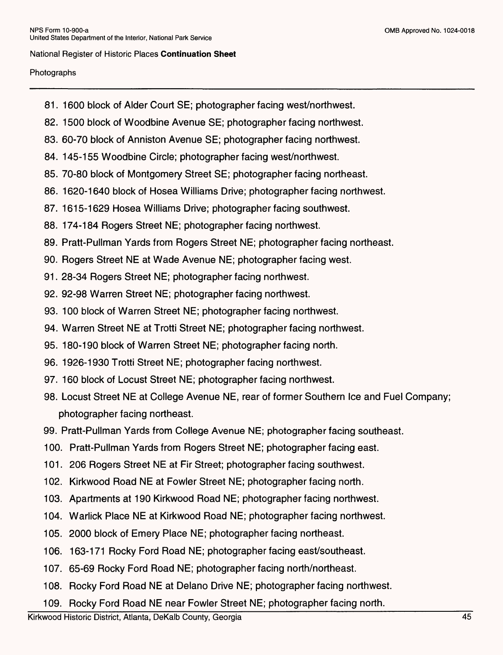#### Photographs

- 81. 1600 block of Alder Court SE; photographer facing west/northwest.
- 82. 1500 block of Woodbine Avenue SE; photographer facing northwest.
- 83. 60-70 block of Anniston Avenue SE; photographer facing northwest.
- 84. 145-155 Woodbine Circle; photographer facing west/northwest.
- 85. 70-80 block of Montgomery Street SE; photographer facing northeast.
- 86. 1620-1640 block of Hosea Williams Drive; photographer facing northwest.
- 87. 1615-1629 Hosea Williams Drive; photographer facing southwest.
- 88. 174-184 Rogers Street NE; photographer facing northwest.
- 89. Pratt-Pullman Yards from Rogers Street NE; photographer facing northeast.
- 90. Rogers Street NE at Wade Avenue NE; photographer facing west.
- 91. 28-34 Rogers Street NE; photographer facing northwest.
- 92. 92-98 Warren Street NE; photographer facing northwest.
- 93. 100 block of Warren Street NE; photographer facing northwest.
- 94. Warren Street NE at Trotti Street NE; photographer facing northwest.
- 95. 180-190 block of Warren Street NE; photographer facing north.
- 96. 1926-1930 Trotti Street NE; photographer facing northwest.
- 97. 160 block of Locust Street NE; photographer facing northwest.
- 98. Locust Street NE at College Avenue NE, rear of former Southern Ice and Fuel Company; photographer facing northeast.
- 99. Pratt-Pullman Yards from College Avenue NE; photographer facing southeast.
- 100. Pratt-Pullman Yards from Rogers Street NE; photographer facing east.
- 101. 206 Rogers Street NE at Fir Street; photographer facing southwest.
- 102. Kirkwood Road NE at Fowler Street NE; photographer facing north.
- 103. Apartments at 190 Kirkwood Road NE; photographer facing northwest.
- 104. Warlick Place NE at Kirkwood Road NE; photographer facing northwest.
- 105. 2000 block of Emery Place NE; photographer facing northeast.
- 106. 163-171 Rocky Ford Road NE; photographer facing east/southeast.
- 107. 65-69 Rocky Ford Road NE; photographer facing north/northeast.
- 108. Rocky Ford Road NE at Delano Drive NE; photographer facing northwest.
- 109. Rocky Ford Road NE near Fowler Street NE; photographer facing north.